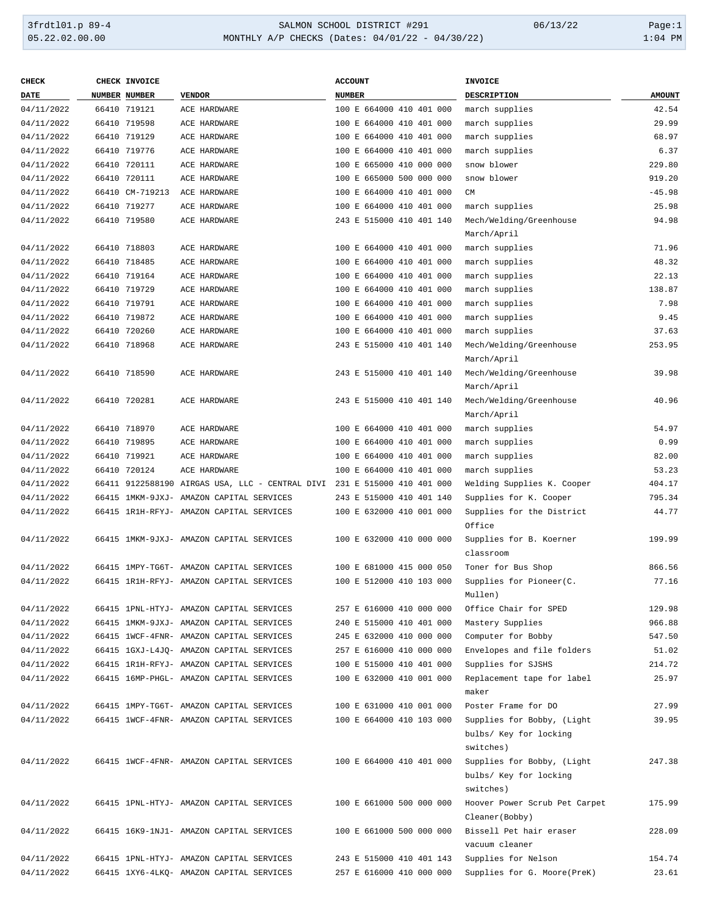| <b>CHECK</b> | <b>CHECK INVOICE</b> |                                                                          | <b>ACCOUNT</b>           | <b>INVOICE</b>                |               |
|--------------|----------------------|--------------------------------------------------------------------------|--------------------------|-------------------------------|---------------|
| DATE         | <b>NUMBER NUMBER</b> | <b>VENDOR</b>                                                            | <b>NUMBER</b>            | DESCRIPTION                   | <b>AMOUNT</b> |
| 04/11/2022   | 66410 719121         | ACE HARDWARE                                                             | 100 E 664000 410 401 000 | march supplies                | 42.54         |
| 04/11/2022   | 66410 719598         | ACE HARDWARE                                                             | 100 E 664000 410 401 000 | march supplies                | 29.99         |
| 04/11/2022   | 66410 719129         | ACE HARDWARE                                                             | 100 E 664000 410 401 000 | march supplies                | 68.97         |
| 04/11/2022   | 66410 719776         | ACE HARDWARE                                                             | 100 E 664000 410 401 000 | march supplies                | 6.37          |
| 04/11/2022   | 66410 720111         | ACE HARDWARE                                                             | 100 E 665000 410 000 000 | snow blower                   | 229.80        |
| 04/11/2022   | 66410 720111         | ACE HARDWARE                                                             | 100 E 665000 500 000 000 | snow blower                   | 919.20        |
| 04/11/2022   | 66410 CM-719213      | ACE HARDWARE                                                             | 100 E 664000 410 401 000 | CM                            | $-45.98$      |
| 04/11/2022   | 66410 719277         | ACE HARDWARE                                                             | 100 E 664000 410 401 000 | march supplies                | 25.98         |
| 04/11/2022   | 66410 719580         | ACE HARDWARE                                                             | 243 E 515000 410 401 140 | Mech/Welding/Greenhouse       | 94.98         |
|              |                      |                                                                          |                          | March/April                   |               |
| 04/11/2022   | 66410 718803         | ACE HARDWARE                                                             | 100 E 664000 410 401 000 | march supplies                | 71.96         |
| 04/11/2022   | 66410 718485         | ACE HARDWARE                                                             | 100 E 664000 410 401 000 | march supplies                | 48.32         |
| 04/11/2022   | 66410 719164         | ACE HARDWARE                                                             | 100 E 664000 410 401 000 | march supplies                | 22.13         |
| 04/11/2022   | 66410 719729         | ACE HARDWARE                                                             | 100 E 664000 410 401 000 | march supplies                | 138.87        |
| 04/11/2022   | 66410 719791         | ACE HARDWARE                                                             | 100 E 664000 410 401 000 | march supplies                | 7.98          |
| 04/11/2022   | 66410 719872         | ACE HARDWARE                                                             | 100 E 664000 410 401 000 | march supplies                | 9.45          |
| 04/11/2022   | 66410 720260         | ACE HARDWARE                                                             | 100 E 664000 410 401 000 | march supplies                | 37.63         |
| 04/11/2022   | 66410 718968         | ACE HARDWARE                                                             | 243 E 515000 410 401 140 | Mech/Welding/Greenhouse       | 253.95        |
|              |                      |                                                                          |                          | March/April                   |               |
| 04/11/2022   | 66410 718590         | ACE HARDWARE                                                             | 243 E 515000 410 401 140 | Mech/Welding/Greenhouse       | 39.98         |
|              |                      |                                                                          |                          | March/April                   |               |
| 04/11/2022   | 66410 720281         | ACE HARDWARE                                                             | 243 E 515000 410 401 140 | Mech/Welding/Greenhouse       | 40.96         |
|              |                      |                                                                          |                          | March/April                   |               |
| 04/11/2022   | 66410 718970         | ACE HARDWARE                                                             | 100 E 664000 410 401 000 | march supplies                | 54.97         |
| 04/11/2022   | 66410 719895         | ACE HARDWARE                                                             | 100 E 664000 410 401 000 | march supplies                | 0.99          |
| 04/11/2022   | 66410 719921         | ACE HARDWARE                                                             | 100 E 664000 410 401 000 | march supplies                | 82.00         |
| 04/11/2022   | 66410 720124         | ACE HARDWARE                                                             | 100 E 664000 410 401 000 | march supplies                | 53.23         |
| 04/11/2022   |                      | 66411 9122588190 AIRGAS USA, LLC - CENTRAL DIVI 231 E 515000 410 401 000 |                          | Welding Supplies K. Cooper    | 404.17        |
| 04/11/2022   |                      | 66415 1MKM-9JXJ- AMAZON CAPITAL SERVICES                                 | 243 E 515000 410 401 140 | Supplies for K. Cooper        | 795.34        |
| 04/11/2022   |                      | 66415 1R1H-RFYJ- AMAZON CAPITAL SERVICES                                 | 100 E 632000 410 001 000 | Supplies for the District     | 44.77         |
|              |                      |                                                                          |                          | Office                        |               |
| 04/11/2022   |                      | 66415 1MKM-9JXJ- AMAZON CAPITAL SERVICES                                 | 100 E 632000 410 000 000 | Supplies for B. Koerner       | 199.99        |
|              |                      |                                                                          |                          | classroom                     |               |
| 04/11/2022   |                      | 66415 1MPY-TG6T- AMAZON CAPITAL SERVICES                                 | 100 E 681000 415 000 050 | Toner for Bus Shop            | 866.56        |
| 04/11/2022   |                      | 66415 1R1H-RFYJ- AMAZON CAPITAL SERVICES                                 | 100 E 512000 410 103 000 | Supplies for Pioneer(C.       | 77.16         |
|              |                      |                                                                          |                          | Mullen)                       |               |
| 04/11/2022   |                      | 66415 1PNL-HTYJ- AMAZON CAPITAL SERVICES                                 | 257 E 616000 410 000 000 | Office Chair for SPED         | 129.98        |
| 04/11/2022   |                      | 66415 1MKM-9JXJ- AMAZON CAPITAL SERVICES                                 | 240 E 515000 410 401 000 | Mastery Supplies              | 966.88        |
| 04/11/2022   |                      | 66415 1WCF-4FNR- AMAZON CAPITAL SERVICES                                 | 245 E 632000 410 000 000 | Computer for Bobby            | 547.50        |
| 04/11/2022   |                      | 66415 1GXJ-L4JQ- AMAZON CAPITAL SERVICES                                 | 257 E 616000 410 000 000 | Envelopes and file folders    | 51.02         |
| 04/11/2022   |                      | 66415 1R1H-RFYJ- AMAZON CAPITAL SERVICES                                 | 100 E 515000 410 401 000 | Supplies for SJSHS            | 214.72        |
| 04/11/2022   |                      | 66415 16MP-PHGL- AMAZON CAPITAL SERVICES                                 | 100 E 632000 410 001 000 | Replacement tape for label    | 25.97         |
|              |                      |                                                                          |                          | maker                         |               |
| 04/11/2022   |                      | 66415 1MPY-TG6T- AMAZON CAPITAL SERVICES                                 | 100 E 631000 410 001 000 | Poster Frame for DO           | 27.99         |
| 04/11/2022   |                      | 66415 1WCF-4FNR- AMAZON CAPITAL SERVICES                                 | 100 E 664000 410 103 000 | Supplies for Bobby, (Light    | 39.95         |
|              |                      |                                                                          |                          | bulbs/ Key for locking        |               |
|              |                      |                                                                          |                          | switches)                     |               |
| 04/11/2022   |                      | 66415 1WCF-4FNR- AMAZON CAPITAL SERVICES                                 | 100 E 664000 410 401 000 | Supplies for Bobby, (Light    | 247.38        |
|              |                      |                                                                          |                          | bulbs/ Key for locking        |               |
|              |                      |                                                                          |                          | switches)                     |               |
| 04/11/2022   |                      | 66415 1PNL-HTYJ- AMAZON CAPITAL SERVICES                                 | 100 E 661000 500 000 000 | Hoover Power Scrub Pet Carpet | 175.99        |
|              |                      |                                                                          |                          | Cleaner(Bobby)                |               |
| 04/11/2022   |                      | 66415 16K9-1NJ1- AMAZON CAPITAL SERVICES                                 | 100 E 661000 500 000 000 | Bissell Pet hair eraser       | 228.09        |
|              |                      |                                                                          |                          | vacuum cleaner                |               |
| 04/11/2022   |                      | 66415 1PNL-HTYJ- AMAZON CAPITAL SERVICES                                 | 243 E 515000 410 401 143 | Supplies for Nelson           | 154.74        |
| 04/11/2022   |                      | 66415 1XY6-4LKQ- AMAZON CAPITAL SERVICES                                 | 257 E 616000 410 000 000 | Supplies for G. Moore(PreK)   | 23.61         |
|              |                      |                                                                          |                          |                               |               |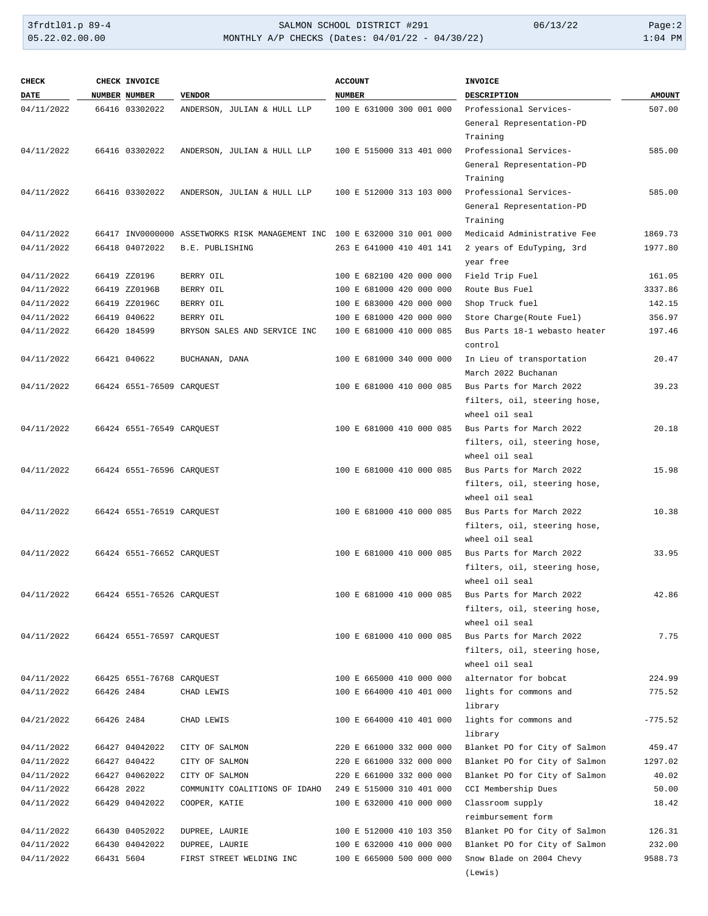| <b>CHECK</b> |            | CHECK INVOICE             |                                                                          | <b>ACCOUNT</b>           | <b>INVOICE</b>                |               |
|--------------|------------|---------------------------|--------------------------------------------------------------------------|--------------------------|-------------------------------|---------------|
| DATE         |            | NUMBER NUMBER             | <b>VENDOR</b>                                                            | <b>NUMBER</b>            | DESCRIPTION                   | <b>AMOUNT</b> |
| 04/11/2022   |            | 66416 03302022            | ANDERSON, JULIAN & HULL LLP                                              | 100 E 631000 300 001 000 | Professional Services-        | 507.00        |
|              |            |                           |                                                                          |                          | General Representation-PD     |               |
|              |            |                           |                                                                          |                          | Training                      |               |
| 04/11/2022   |            | 66416 03302022            | ANDERSON, JULIAN & HULL LLP                                              | 100 E 515000 313 401 000 | Professional Services-        | 585.00        |
|              |            |                           |                                                                          |                          | General Representation-PD     |               |
|              |            |                           |                                                                          |                          | Training                      |               |
| 04/11/2022   |            | 66416 03302022            | ANDERSON, JULIAN & HULL LLP                                              | 100 E 512000 313 103 000 | Professional Services-        | 585.00        |
|              |            |                           |                                                                          |                          | General Representation-PD     |               |
|              |            |                           |                                                                          |                          | Training                      |               |
| 04/11/2022   |            |                           | 66417 INV0000000 ASSETWORKS RISK MANAGEMENT INC 100 E 632000 310 001 000 |                          | Medicaid Administrative Fee   | 1869.73       |
| 04/11/2022   |            | 66418 04072022            | B.E. PUBLISHING                                                          | 263 E 641000 410 401 141 | 2 years of EduTyping, 3rd     | 1977.80       |
|              |            |                           |                                                                          |                          | year free                     |               |
| 04/11/2022   |            | 66419 ZZ0196              | BERRY OIL                                                                | 100 E 682100 420 000 000 | Field Trip Fuel               | 161.05        |
| 04/11/2022   |            | 66419 ZZ0196B             | BERRY OIL                                                                | 100 E 681000 420 000 000 | Route Bus Fuel                | 3337.86       |
| 04/11/2022   |            | 66419 ZZ0196C             | BERRY OIL                                                                | 100 E 683000 420 000 000 | Shop Truck fuel               | 142.15        |
| 04/11/2022   |            | 66419 040622              | BERRY OIL                                                                | 100 E 681000 420 000 000 | Store Charge(Route Fuel)      | 356.97        |
| 04/11/2022   |            | 66420 184599              | BRYSON SALES AND SERVICE INC                                             | 100 E 681000 410 000 085 | Bus Parts 18-1 webasto heater | 197.46        |
|              |            |                           |                                                                          |                          | control                       |               |
| 04/11/2022   |            | 66421 040622              | BUCHANAN, DANA                                                           | 100 E 681000 340 000 000 | In Lieu of transportation     | 20.47         |
|              |            |                           |                                                                          |                          | March 2022 Buchanan           |               |
| 04/11/2022   |            | 66424 6551-76509 CAROUEST |                                                                          | 100 E 681000 410 000 085 | Bus Parts for March 2022      | 39.23         |
|              |            |                           |                                                                          |                          | filters, oil, steering hose,  |               |
|              |            |                           |                                                                          |                          | wheel oil seal                |               |
| 04/11/2022   |            | 66424 6551-76549 CARQUEST |                                                                          | 100 E 681000 410 000 085 | Bus Parts for March 2022      | 20.18         |
|              |            |                           |                                                                          |                          | filters, oil, steering hose,  |               |
|              |            |                           |                                                                          |                          | wheel oil seal                |               |
| 04/11/2022   |            | 66424 6551-76596 CARQUEST |                                                                          | 100 E 681000 410 000 085 | Bus Parts for March 2022      | 15.98         |
|              |            |                           |                                                                          |                          | filters, oil, steering hose,  |               |
|              |            |                           |                                                                          |                          | wheel oil seal                |               |
| 04/11/2022   |            | 66424 6551-76519 CARQUEST |                                                                          | 100 E 681000 410 000 085 | Bus Parts for March 2022      | 10.38         |
|              |            |                           |                                                                          |                          | filters, oil, steering hose,  |               |
|              |            |                           |                                                                          |                          | wheel oil seal                |               |
| 04/11/2022   |            | 66424 6551-76652 CAROUEST |                                                                          | 100 E 681000 410 000 085 | Bus Parts for March 2022      | 33.95         |
|              |            |                           |                                                                          |                          | filters, oil, steering hose,  |               |
|              |            |                           |                                                                          |                          | wheel oil seal                |               |
| 04/11/2022   |            | 66424 6551-76526 CARQUEST |                                                                          | 100 E 681000 410 000 085 | Bus Parts for March 2022      | 42.86         |
|              |            |                           |                                                                          |                          | filters, oil, steering hose,  |               |
|              |            |                           |                                                                          |                          | wheel oil seal                |               |
| 04/11/2022   |            | 66424 6551-76597 CARQUEST |                                                                          | 100 E 681000 410 000 085 | Bus Parts for March 2022      | 7.75          |
|              |            |                           |                                                                          |                          | filters, oil, steering hose,  |               |
|              |            |                           |                                                                          |                          | wheel oil seal                |               |
| 04/11/2022   |            | 66425 6551-76768 CARQUEST |                                                                          | 100 E 665000 410 000 000 | alternator for bobcat         | 224.99        |
| 04/11/2022   | 66426 2484 |                           | CHAD LEWIS                                                               | 100 E 664000 410 401 000 | lights for commons and        | 775.52        |
|              |            |                           |                                                                          |                          | library                       |               |
| 04/21/2022   | 66426 2484 |                           | CHAD LEWIS                                                               | 100 E 664000 410 401 000 | lights for commons and        | $-775.52$     |
|              |            |                           |                                                                          |                          | library                       |               |
| 04/11/2022   |            | 66427 04042022            | CITY OF SALMON                                                           | 220 E 661000 332 000 000 | Blanket PO for City of Salmon | 459.47        |
| 04/11/2022   |            | 66427 040422              | CITY OF SALMON                                                           | 220 E 661000 332 000 000 | Blanket PO for City of Salmon | 1297.02       |
| 04/11/2022   |            | 66427 04062022            | CITY OF SALMON                                                           | 220 E 661000 332 000 000 | Blanket PO for City of Salmon | 40.02         |
| 04/11/2022   | 66428 2022 |                           | COMMUNITY COALITIONS OF IDAHO                                            | 249 E 515000 310 401 000 | CCI Membership Dues           | 50.00         |
| 04/11/2022   |            | 66429 04042022            | COOPER, KATIE                                                            | 100 E 632000 410 000 000 | Classroom supply              | 18.42         |
|              |            |                           |                                                                          |                          | reimbursement form            |               |
| 04/11/2022   |            | 66430 04052022            | DUPREE, LAURIE                                                           | 100 E 512000 410 103 350 | Blanket PO for City of Salmon | 126.31        |
| 04/11/2022   |            | 66430 04042022            | DUPREE, LAURIE                                                           | 100 E 632000 410 000 000 | Blanket PO for City of Salmon | 232.00        |
| 04/11/2022   | 66431 5604 |                           | FIRST STREET WELDING INC                                                 | 100 E 665000 500 000 000 | Snow Blade on 2004 Chevy      | 9588.73       |
|              |            |                           |                                                                          |                          | (Lewis)                       |               |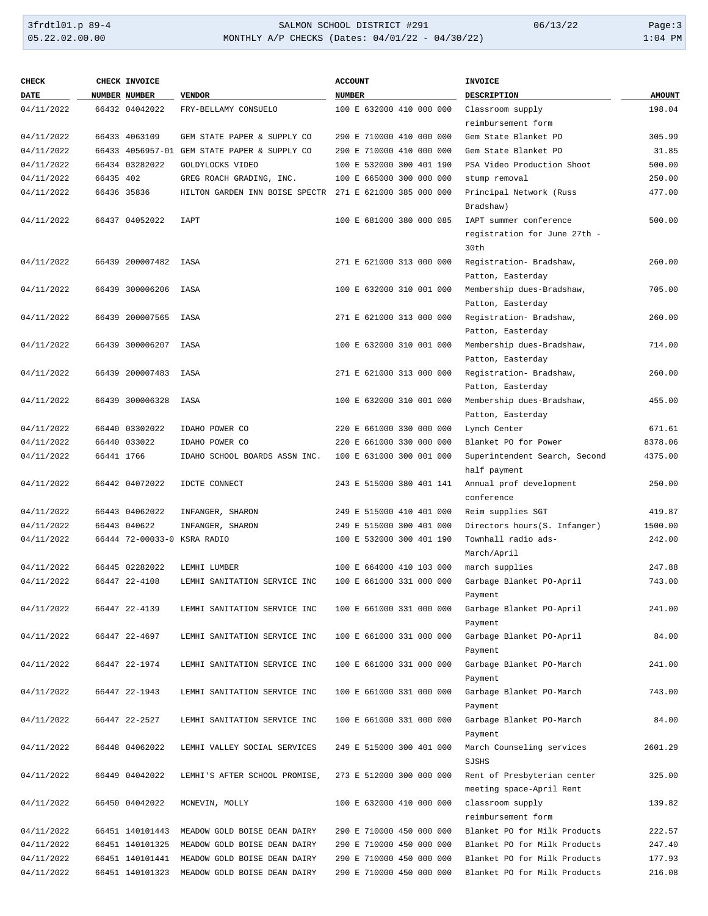| <b>CHECK</b> |             | CHECK INVOICE               |                                              | <b>ACCOUNT</b>           | <b>INVOICE</b>                |               |
|--------------|-------------|-----------------------------|----------------------------------------------|--------------------------|-------------------------------|---------------|
| <b>DATE</b>  |             | <b>NUMBER NUMBER</b>        | <b>VENDOR</b>                                | <b>NUMBER</b>            | DESCRIPTION                   | <b>AMOUNT</b> |
| 04/11/2022   |             | 66432 04042022              | FRY-BELLAMY CONSUELO                         | 100 E 632000 410 000 000 | Classroom supply              | 198.04        |
|              |             |                             |                                              |                          | reimbursement form            |               |
| 04/11/2022   |             | 66433 4063109               | GEM STATE PAPER & SUPPLY CO                  | 290 E 710000 410 000 000 | Gem State Blanket PO          | 305.99        |
| 04/11/2022   |             |                             | 66433 4056957-01 GEM STATE PAPER & SUPPLY CO | 290 E 710000 410 000 000 | Gem State Blanket PO          | 31.85         |
| 04/11/2022   |             | 66434 03282022              | GOLDYLOCKS VIDEO                             | 100 E 532000 300 401 190 | PSA Video Production Shoot    | 500.00        |
| 04/11/2022   | 66435 402   |                             | GREG ROACH GRADING, INC.                     | 100 E 665000 300 000 000 | stump removal                 | 250.00        |
| 04/11/2022   | 66436 35836 |                             | HILTON GARDEN INN BOISE SPECTR               | 271 E 621000 385 000 000 | Principal Network (Russ       | 477.00        |
|              |             |                             |                                              |                          | Bradshaw)                     |               |
| 04/11/2022   |             | 66437 04052022              | IAPT                                         | 100 E 681000 380 000 085 | IAPT summer conference        | 500.00        |
|              |             |                             |                                              |                          | registration for June 27th -  |               |
|              |             |                             |                                              |                          | 30th                          |               |
| 04/11/2022   |             | 66439 200007482             | IASA                                         | 271 E 621000 313 000 000 | Registration- Bradshaw,       | 260.00        |
|              |             |                             |                                              |                          | Patton, Easterday             |               |
| 04/11/2022   |             | 66439 300006206             | IASA                                         | 100 E 632000 310 001 000 | Membership dues-Bradshaw,     | 705.00        |
|              |             |                             |                                              |                          | Patton, Easterday             |               |
| 04/11/2022   |             | 66439 200007565             | IASA                                         | 271 E 621000 313 000 000 | Registration- Bradshaw,       | 260.00        |
|              |             |                             |                                              |                          | Patton, Easterday             |               |
| 04/11/2022   |             | 66439 300006207             | IASA                                         | 100 E 632000 310 001 000 | Membership dues-Bradshaw,     | 714.00        |
|              |             |                             |                                              |                          | Patton, Easterday             |               |
| 04/11/2022   |             | 66439 200007483             | IASA                                         | 271 E 621000 313 000 000 | Registration- Bradshaw,       | 260.00        |
|              |             |                             |                                              |                          | Patton, Easterday             |               |
| 04/11/2022   |             | 66439 300006328             | IASA                                         | 100 E 632000 310 001 000 | Membership dues-Bradshaw,     | 455.00        |
|              |             |                             |                                              |                          | Patton, Easterday             |               |
| 04/11/2022   |             | 66440 03302022              | IDAHO POWER CO                               | 220 E 661000 330 000 000 | Lynch Center                  | 671.61        |
| 04/11/2022   |             | 66440 033022                | IDAHO POWER CO                               | 220 E 661000 330 000 000 | Blanket PO for Power          | 8378.06       |
| 04/11/2022   | 66441 1766  |                             | IDAHO SCHOOL BOARDS ASSN INC.                | 100 E 631000 300 001 000 | Superintendent Search, Second | 4375.00       |
|              |             |                             |                                              |                          | half payment                  |               |
| 04/11/2022   |             | 66442 04072022              | IDCTE CONNECT                                | 243 E 515000 380 401 141 | Annual prof development       | 250.00        |
|              |             |                             |                                              |                          | conference                    |               |
| 04/11/2022   |             | 66443 04062022              | INFANGER, SHARON                             | 249 E 515000 410 401 000 | Reim supplies SGT             | 419.87        |
| 04/11/2022   |             | 66443 040622                | INFANGER, SHARON                             | 249 E 515000 300 401 000 | Directors hours(S. Infanger)  | 1500.00       |
| 04/11/2022   |             | 66444 72-00033-0 KSRA RADIO |                                              | 100 E 532000 300 401 190 | Townhall radio ads-           | 242.00        |
|              |             |                             |                                              |                          | March/April                   |               |
| 04/11/2022   |             | 66445 02282022              | LEMHI LUMBER                                 | 100 E 664000 410 103 000 | march supplies                | 247.88        |
| 04/11/2022   |             | 66447 22-4108               | LEMHI SANITATION SERVICE INC                 | 100 E 661000 331 000 000 | Garbage Blanket PO-April      | 743.00        |
|              |             |                             |                                              |                          | Payment                       |               |
| 04/11/2022   |             | 66447 22-4139               | LEMHI SANITATION SERVICE INC                 | 100 E 661000 331 000 000 | Garbage Blanket PO-April      | 241.00        |
|              |             |                             |                                              |                          | Payment                       |               |
| 04/11/2022   |             | 66447 22-4697               | LEMHI SANITATION SERVICE INC                 | 100 E 661000 331 000 000 | Garbage Blanket PO-April      | 84.00         |
|              |             |                             |                                              |                          | Payment                       |               |
| 04/11/2022   |             | 66447 22-1974               | LEMHI SANITATION SERVICE INC                 | 100 E 661000 331 000 000 | Garbage Blanket PO-March      | 241.00        |
|              |             |                             |                                              |                          | Payment                       |               |
| 04/11/2022   |             | 66447 22-1943               | LEMHI SANITATION SERVICE INC                 | 100 E 661000 331 000 000 | Garbage Blanket PO-March      | 743.00        |
|              |             |                             |                                              |                          | Payment                       |               |
| 04/11/2022   |             | 66447 22-2527               | LEMHI SANITATION SERVICE INC                 | 100 E 661000 331 000 000 | Garbage Blanket PO-March      | 84.00         |
|              |             |                             |                                              |                          | Payment                       |               |
| 04/11/2022   |             | 66448 04062022              | LEMHI VALLEY SOCIAL SERVICES                 | 249 E 515000 300 401 000 | March Counseling services     | 2601.29       |
|              |             |                             |                                              |                          | SJSHS                         |               |
| 04/11/2022   |             | 66449 04042022              | LEMHI'S AFTER SCHOOL PROMISE,                | 273 E 512000 300 000 000 | Rent of Presbyterian center   | 325.00        |
|              |             |                             |                                              |                          | meeting space-April Rent      |               |
| 04/11/2022   |             | 66450 04042022              | MCNEVIN, MOLLY                               | 100 E 632000 410 000 000 | classroom supply              | 139.82        |
|              |             |                             |                                              |                          | reimbursement form            |               |
| 04/11/2022   |             | 66451 140101443             | MEADOW GOLD BOISE DEAN DAIRY                 | 290 E 710000 450 000 000 | Blanket PO for Milk Products  | 222.57        |
| 04/11/2022   |             | 66451 140101325             | MEADOW GOLD BOISE DEAN DAIRY                 | 290 E 710000 450 000 000 | Blanket PO for Milk Products  | 247.40        |
| 04/11/2022   |             | 66451 140101441             | MEADOW GOLD BOISE DEAN DAIRY                 | 290 E 710000 450 000 000 | Blanket PO for Milk Products  | 177.93        |
| 04/11/2022   |             | 66451 140101323             | MEADOW GOLD BOISE DEAN DAIRY                 | 290 E 710000 450 000 000 | Blanket PO for Milk Products  | 216.08        |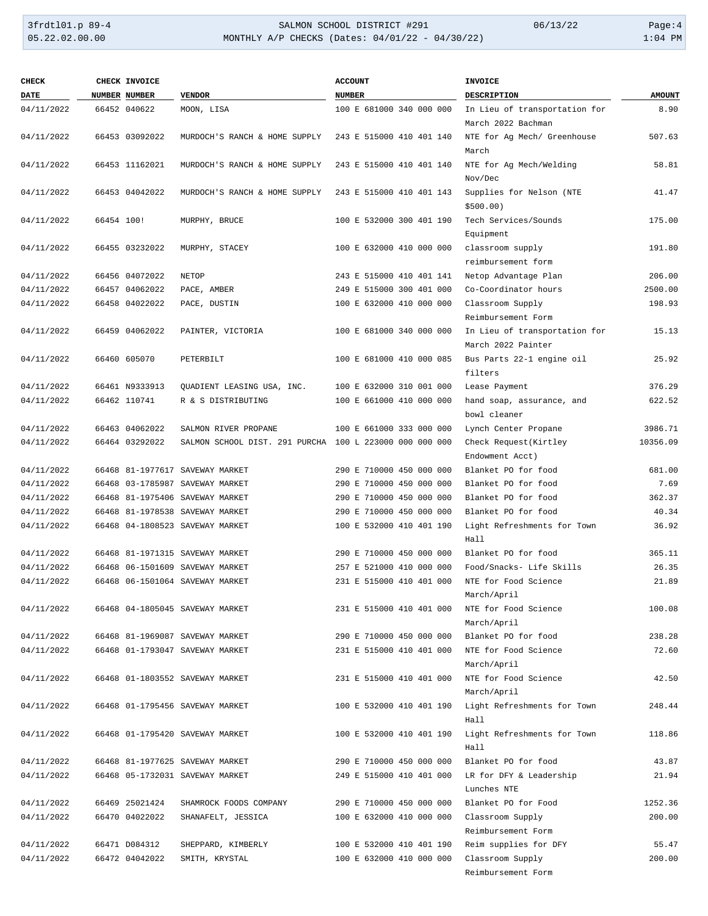| <b>CHECK</b> |            | CHECK INVOICE        |                                                         | <b>ACCOUNT</b>           | <b>INVOICE</b>                |               |
|--------------|------------|----------------------|---------------------------------------------------------|--------------------------|-------------------------------|---------------|
| <b>DATE</b>  |            | <b>NUMBER NUMBER</b> | <b>VENDOR</b>                                           | <b>NUMBER</b>            | DESCRIPTION                   | <b>AMOUNT</b> |
| 04/11/2022   |            | 66452 040622         | MOON, LISA                                              | 100 E 681000 340 000 000 | In Lieu of transportation for | 8.90          |
|              |            |                      |                                                         |                          | March 2022 Bachman            |               |
| 04/11/2022   |            | 66453 03092022       | MURDOCH'S RANCH & HOME SUPPLY                           | 243 E 515000 410 401 140 | NTE for Ag Mech/ Greenhouse   | 507.63        |
|              |            |                      |                                                         |                          | March                         |               |
| 04/11/2022   |            | 66453 11162021       | MURDOCH'S RANCH & HOME SUPPLY                           | 243 E 515000 410 401 140 | NTE for Ag Mech/Welding       | 58.81         |
|              |            |                      |                                                         |                          | Nov/Dec                       |               |
| 04/11/2022   |            | 66453 04042022       | MURDOCH'S RANCH & HOME SUPPLY                           | 243 E 515000 410 401 143 | Supplies for Nelson (NTE      | 41.47         |
|              |            |                      |                                                         |                          | \$500.00                      |               |
| 04/11/2022   | 66454 100! |                      | MURPHY, BRUCE                                           | 100 E 532000 300 401 190 | Tech Services/Sounds          | 175.00        |
|              |            |                      |                                                         |                          | Equipment                     |               |
| 04/11/2022   |            | 66455 03232022       | MURPHY, STACEY                                          | 100 E 632000 410 000 000 | classroom supply              | 191.80        |
|              |            |                      |                                                         |                          | reimbursement form            |               |
| 04/11/2022   |            | 66456 04072022       | <b>NETOP</b>                                            | 243 E 515000 410 401 141 | Netop Advantage Plan          | 206.00        |
| 04/11/2022   |            | 66457 04062022       | PACE, AMBER                                             | 249 E 515000 300 401 000 | Co-Coordinator hours          | 2500.00       |
| 04/11/2022   |            | 66458 04022022       | PACE, DUSTIN                                            | 100 E 632000 410 000 000 | Classroom Supply              | 198.93        |
|              |            |                      |                                                         |                          | Reimbursement Form            |               |
| 04/11/2022   |            | 66459 04062022       | PAINTER, VICTORIA                                       | 100 E 681000 340 000 000 | In Lieu of transportation for | 15.13         |
|              |            |                      |                                                         |                          | March 2022 Painter            |               |
| 04/11/2022   |            | 66460 605070         | PETERBILT                                               | 100 E 681000 410 000 085 | Bus Parts 22-1 engine oil     | 25.92         |
|              |            |                      |                                                         |                          | filters                       |               |
|              |            |                      |                                                         |                          |                               |               |
| 04/11/2022   |            | 66461 N9333913       | QUADIENT LEASING USA, INC.                              | 100 E 632000 310 001 000 | Lease Payment                 | 376.29        |
| 04/11/2022   |            | 66462 110741         | R & S DISTRIBUTING                                      | 100 E 661000 410 000 000 | hand soap, assurance, and     | 622.52        |
|              |            |                      |                                                         |                          | bowl cleaner                  |               |
| 04/11/2022   |            | 66463 04062022       | SALMON RIVER PROPANE                                    | 100 E 661000 333 000 000 | Lynch Center Propane          | 3986.71       |
| 04/11/2022   |            | 66464 03292022       | SALMON SCHOOL DIST. 291 PURCHA 100 L 223000 000 000 000 |                          | Check Request (Kirtley        | 10356.09      |
|              |            |                      |                                                         |                          | Endowment Acct)               |               |
| 04/11/2022   |            |                      | 66468 81-1977617 SAVEWAY MARKET                         | 290 E 710000 450 000 000 | Blanket PO for food           | 681.00        |
| 04/11/2022   |            |                      | 66468 03-1785987 SAVEWAY MARKET                         | 290 E 710000 450 000 000 | Blanket PO for food           | 7.69          |
| 04/11/2022   |            |                      | 66468 81-1975406 SAVEWAY MARKET                         | 290 E 710000 450 000 000 | Blanket PO for food           | 362.37        |
| 04/11/2022   |            |                      | 66468 81-1978538 SAVEWAY MARKET                         | 290 E 710000 450 000 000 | Blanket PO for food           | 40.34         |
| 04/11/2022   |            |                      | 66468 04-1808523 SAVEWAY MARKET                         | 100 E 532000 410 401 190 | Light Refreshments for Town   | 36.92         |
|              |            |                      |                                                         |                          | Hall                          |               |
| 04/11/2022   |            |                      | 66468 81-1971315 SAVEWAY MARKET                         | 290 E 710000 450 000 000 | Blanket PO for food           | 365.11        |
| 04/11/2022   |            |                      | 66468 06-1501609 SAVEWAY MARKET                         | 257 E 521000 410 000 000 | Food/Snacks- Life Skills      | 26.35         |
| 04/11/2022   |            |                      | 66468 06-1501064 SAVEWAY MARKET                         | 231 E 515000 410 401 000 | NTE for Food Science          | 21.89         |
|              |            |                      |                                                         |                          | March/April                   |               |
| 04/11/2022   |            |                      | 66468 04-1805045 SAVEWAY MARKET                         | 231 E 515000 410 401 000 | NTE for Food Science          | 100.08        |
|              |            |                      |                                                         |                          | March/April                   |               |
| 04/11/2022   |            |                      | 66468 81-1969087 SAVEWAY MARKET                         | 290 E 710000 450 000 000 | Blanket PO for food           | 238.28        |
| 04/11/2022   |            |                      | 66468 01-1793047 SAVEWAY MARKET                         | 231 E 515000 410 401 000 | NTE for Food Science          | 72.60         |
|              |            |                      |                                                         |                          | March/April                   |               |
| 04/11/2022   |            |                      | 66468 01-1803552 SAVEWAY MARKET                         | 231 E 515000 410 401 000 | NTE for Food Science          | 42.50         |
|              |            |                      |                                                         |                          | March/April                   |               |
| 04/11/2022   |            |                      | 66468 01-1795456 SAVEWAY MARKET                         | 100 E 532000 410 401 190 | Light Refreshments for Town   | 248.44        |
|              |            |                      |                                                         |                          | Hall                          |               |
| 04/11/2022   |            |                      | 66468 01-1795420 SAVEWAY MARKET                         | 100 E 532000 410 401 190 | Light Refreshments for Town   | 118.86        |
|              |            |                      |                                                         |                          | Hall                          |               |
| 04/11/2022   |            |                      | 66468 81-1977625 SAVEWAY MARKET                         | 290 E 710000 450 000 000 | Blanket PO for food           | 43.87         |
| 04/11/2022   |            |                      | 66468 05-1732031 SAVEWAY MARKET                         | 249 E 515000 410 401 000 | LR for DFY & Leadership       | 21.94         |
|              |            |                      |                                                         |                          | Lunches NTE                   |               |
|              |            |                      |                                                         |                          |                               |               |
| 04/11/2022   |            | 66469 25021424       | SHAMROCK FOODS COMPANY                                  | 290 E 710000 450 000 000 | Blanket PO for Food           | 1252.36       |
| 04/11/2022   |            | 66470 04022022       | SHANAFELT, JESSICA                                      | 100 E 632000 410 000 000 | Classroom Supply              | 200.00        |
|              |            |                      |                                                         |                          | Reimbursement Form            |               |
| 04/11/2022   |            | 66471 D084312        | SHEPPARD, KIMBERLY                                      | 100 E 532000 410 401 190 | Reim supplies for DFY         | 55.47         |
| 04/11/2022   |            | 66472 04042022       | SMITH, KRYSTAL                                          | 100 E 632000 410 000 000 | Classroom Supply              | 200.00        |
|              |            |                      |                                                         |                          | Reimbursement Form            |               |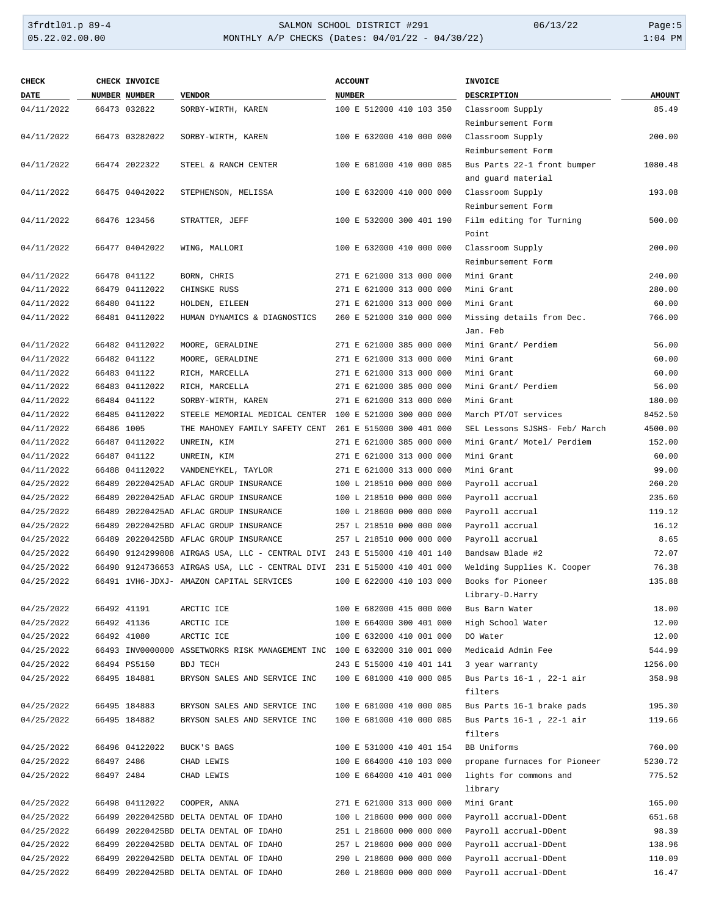## 3frdtl01.p 89-4 <br>
35.22.02.00.00 <br>
35.22.02.00.00 <br>
35.22.02.00.00 <br>
35.22.02.00.00 <br>
35.22.02.00.00 <br>
31:04 PM MONTHLY A/P CHECKS (Dates: 04/01/22 - 04/30/22)

| CHECK       |            | <b>CHECK INVOICE</b> |                                                                          | <b>ACCOUNT</b>           | <b>INVOICE</b>                |               |
|-------------|------------|----------------------|--------------------------------------------------------------------------|--------------------------|-------------------------------|---------------|
| <b>DATE</b> |            | <b>NUMBER NUMBER</b> | <b>VENDOR</b>                                                            | <b>NUMBER</b>            | <b>DESCRIPTION</b>            | <b>AMOUNT</b> |
| 04/11/2022  |            | 66473 032822         | SORBY-WIRTH, KAREN                                                       | 100 E 512000 410 103 350 | Classroom Supply              | 85.49         |
|             |            |                      |                                                                          |                          | Reimbursement Form            |               |
| 04/11/2022  |            | 66473 03282022       | SORBY-WIRTH, KAREN                                                       | 100 E 632000 410 000 000 | Classroom Supply              | 200.00        |
|             |            |                      |                                                                          |                          | Reimbursement Form            |               |
| 04/11/2022  |            | 66474 2022322        | STEEL & RANCH CENTER                                                     | 100 E 681000 410 000 085 | Bus Parts 22-1 front bumper   | 1080.48       |
|             |            |                      |                                                                          |                          | and guard material            |               |
| 04/11/2022  |            | 66475 04042022       | STEPHENSON, MELISSA                                                      | 100 E 632000 410 000 000 | Classroom Supply              | 193.08        |
|             |            |                      |                                                                          |                          | Reimbursement Form            |               |
| 04/11/2022  |            | 66476 123456         | STRATTER, JEFF                                                           | 100 E 532000 300 401 190 | Film editing for Turning      | 500.00        |
|             |            |                      |                                                                          |                          | Point                         |               |
| 04/11/2022  |            | 66477 04042022       | WING, MALLORI                                                            | 100 E 632000 410 000 000 | Classroom Supply              | 200.00        |
|             |            |                      |                                                                          |                          | Reimbursement Form            |               |
| 04/11/2022  |            | 66478 041122         | BORN, CHRIS                                                              | 271 E 621000 313 000 000 | Mini Grant                    | 240.00        |
| 04/11/2022  |            | 66479 04112022       | CHINSKE RUSS                                                             | 271 E 621000 313 000 000 | Mini Grant                    | 280.00        |
| 04/11/2022  |            | 66480 041122         | HOLDEN, EILEEN                                                           | 271 E 621000 313 000 000 | Mini Grant                    | 60.00         |
| 04/11/2022  |            | 66481 04112022       | HUMAN DYNAMICS & DIAGNOSTICS                                             | 260 E 521000 310 000 000 | Missing details from Dec.     | 766.00        |
|             |            |                      |                                                                          |                          | Jan. Feb                      |               |
| 04/11/2022  |            | 66482 04112022       | MOORE, GERALDINE                                                         | 271 E 621000 385 000 000 | Mini Grant/ Perdiem           | 56.00         |
| 04/11/2022  |            | 66482 041122         | MOORE, GERALDINE                                                         | 271 E 621000 313 000 000 | Mini Grant                    | 60.00         |
| 04/11/2022  |            | 66483 041122         | RICH, MARCELLA                                                           | 271 E 621000 313 000 000 | Mini Grant                    | 60.00         |
| 04/11/2022  |            | 66483 04112022       | RICH, MARCELLA                                                           | 271 E 621000 385 000 000 | Mini Grant/ Perdiem           | 56.00         |
| 04/11/2022  |            | 66484 041122         | SORBY-WIRTH, KAREN                                                       | 271 E 621000 313 000 000 | Mini Grant                    | 180.00        |
| 04/11/2022  |            | 66485 04112022       | STEELE MEMORIAL MEDICAL CENTER                                           | 100 E 521000 300 000 000 | March PT/OT services          | 8452.50       |
| 04/11/2022  | 66486 1005 |                      | THE MAHONEY FAMILY SAFETY CENT                                           | 261 E 515000 300 401 000 | SEL Lessons SJSHS- Feb/ March | 4500.00       |
| 04/11/2022  |            | 66487 04112022       | UNREIN, KIM                                                              | 271 E 621000 385 000 000 | Mini Grant/ Motel/ Perdiem    | 152.00        |
| 04/11/2022  |            | 66487 041122         | UNREIN, KIM                                                              | 271 E 621000 313 000 000 | Mini Grant                    | 60.00         |
| 04/11/2022  |            | 66488 04112022       | VANDENEYKEL, TAYLOR                                                      | 271 E 621000 313 000 000 | Mini Grant                    | 99.00         |
| 04/25/2022  |            |                      | 66489 20220425AD AFLAC GROUP INSURANCE                                   | 100 L 218510 000 000 000 | Payroll accrual               | 260.20        |
| 04/25/2022  |            |                      | 66489 20220425AD AFLAC GROUP INSURANCE                                   | 100 L 218510 000 000 000 | Payroll accrual               | 235.60        |
| 04/25/2022  |            |                      | 66489 20220425AD AFLAC GROUP INSURANCE                                   | 100 L 218600 000 000 000 | Payroll accrual               | 119.12        |
| 04/25/2022  |            |                      | 66489 20220425BD AFLAC GROUP INSURANCE                                   | 257 L 218510 000 000 000 | Payroll accrual               | 16.12         |
| 04/25/2022  |            |                      | 66489 20220425BD AFLAC GROUP INSURANCE                                   | 257 L 218510 000 000 000 | Payroll accrual               | 8.65          |
| 04/25/2022  |            |                      | 66490 9124299808 AIRGAS USA, LLC - CENTRAL DIVI 243 E 515000 410 401 140 |                          | Bandsaw Blade #2              | 72.07         |
| 04/25/2022  |            |                      | 66490 9124736653 AIRGAS USA, LLC - CENTRAL DIVI                          | 231 E 515000 410 401 000 | Welding Supplies K. Cooper    | 76.38         |
| 04/25/2022  |            |                      | 66491 1VH6-JDXJ- AMAZON CAPITAL SERVICES                                 | 100 E 622000 410 103 000 | Books for Pioneer             | 135.88        |
|             |            |                      |                                                                          |                          | Library-D.Harry               |               |
| 04/25/2022  |            | 66492 41191          | ARCTIC ICE                                                               | 100 E 682000 415 000 000 | Bus Barn Water                | 18.00         |
| 04/25/2022  |            | 66492 41136          | ARCTIC ICE                                                               | 100 E 664000 300 401 000 | High School Water             | 12.00         |
| 04/25/2022  |            | 66492 41080          | ARCTIC ICE                                                               | 100 E 632000 410 001 000 | DO Water                      | 12.00         |
| 04/25/2022  |            |                      | 66493 INV0000000 ASSETWORKS RISK MANAGEMENT INC 100 E 632000 310 001 000 |                          | Medicaid Admin Fee            | 544.99        |
| 04/25/2022  |            | 66494 PS5150         | <b>BDJ TECH</b>                                                          | 243 E 515000 410 401 141 | 3 year warranty               | 1256.00       |
| 04/25/2022  |            | 66495 184881         | BRYSON SALES AND SERVICE INC                                             | 100 E 681000 410 000 085 | Bus Parts 16-1, 22-1 air      | 358.98        |
|             |            |                      |                                                                          |                          | filters                       |               |
| 04/25/2022  |            | 66495 184883         | BRYSON SALES AND SERVICE INC                                             | 100 E 681000 410 000 085 | Bus Parts 16-1 brake pads     | 195.30        |
| 04/25/2022  |            | 66495 184882         | BRYSON SALES AND SERVICE INC                                             | 100 E 681000 410 000 085 | Bus Parts 16-1, 22-1 air      | 119.66        |
|             |            |                      |                                                                          |                          | filters                       |               |
| 04/25/2022  |            | 66496 04122022       | BUCK'S BAGS                                                              | 100 E 531000 410 401 154 | BB Uniforms                   | 760.00        |
| 04/25/2022  | 66497 2486 |                      | CHAD LEWIS                                                               | 100 E 664000 410 103 000 | propane furnaces for Pioneer  | 5230.72       |
| 04/25/2022  | 66497 2484 |                      | CHAD LEWIS                                                               | 100 E 664000 410 401 000 | lights for commons and        | 775.52        |
|             |            |                      |                                                                          |                          | library                       |               |
| 04/25/2022  |            | 66498 04112022       | COOPER, ANNA                                                             | 271 E 621000 313 000 000 | Mini Grant                    | 165.00        |
| 04/25/2022  |            |                      | 66499 20220425BD DELTA DENTAL OF IDAHO                                   | 100 L 218600 000 000 000 | Payroll accrual-DDent         | 651.68        |
| 04/25/2022  |            |                      | 66499 20220425BD DELTA DENTAL OF IDAHO                                   | 251 L 218600 000 000 000 | Payroll accrual-DDent         | 98.39         |
| 04/25/2022  |            |                      | 66499 20220425BD DELTA DENTAL OF IDAHO                                   | 257 L 218600 000 000 000 | Payroll accrual-DDent         | 138.96        |
| 04/25/2022  |            |                      | 66499 20220425BD DELTA DENTAL OF IDAHO                                   | 290 L 218600 000 000 000 | Payroll accrual-DDent         | 110.09        |
| 04/25/2022  |            |                      | 66499 20220425BD DELTA DENTAL OF IDAHO                                   | 260 L 218600 000 000 000 | Payroll accrual-DDent         | 16.47         |
|             |            |                      |                                                                          |                          |                               |               |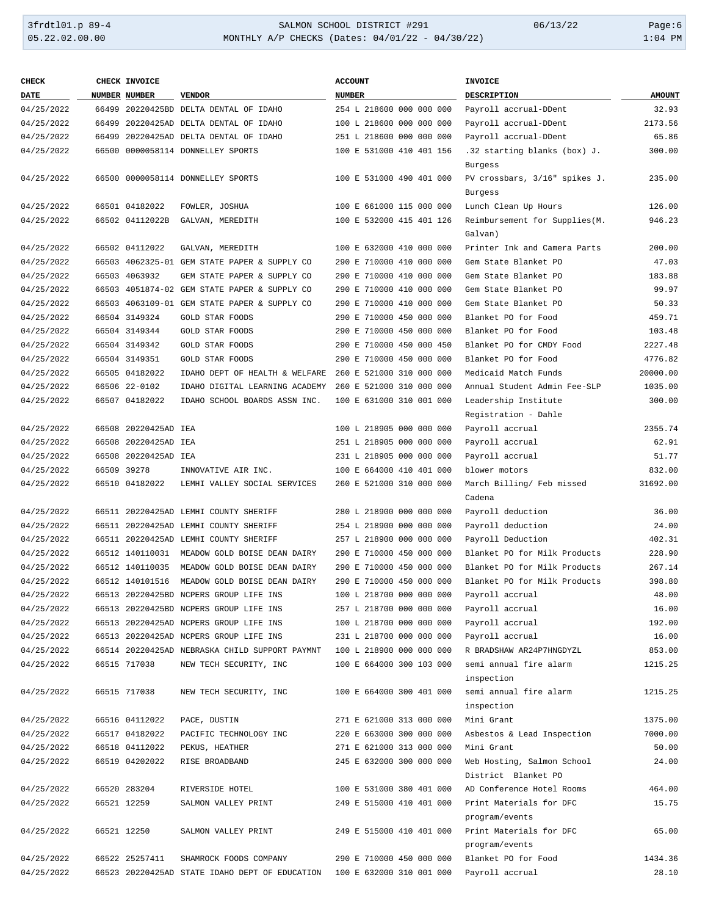# 3frdtl01.p 89-4 <br>
35.22.02.00.00 <br>
35.22.02.00.00 <br>
35.22.02.00.00 <br>
35.22.02.00.00 <br>
35.22.02.00.00 <br>
31:04 PM MONTHLY A/P CHECKS (Dates: 04/01/22 - 04/30/22)

| <b>CHECK</b> | CHECK INVOICE        |                                                | <b>ACCOUNT</b>           | <b>INVOICE</b>                           |               |
|--------------|----------------------|------------------------------------------------|--------------------------|------------------------------------------|---------------|
| DATE         | <b>NUMBER NUMBER</b> | <b>VENDOR</b>                                  | <b>NUMBER</b>            | <b>DESCRIPTION</b>                       | <b>AMOUNT</b> |
| 04/25/2022   |                      | 66499 20220425BD DELTA DENTAL OF IDAHO         | 254 L 218600 000 000 000 | Payroll accrual-DDent                    | 32.93         |
| 04/25/2022   |                      | 66499 20220425AD DELTA DENTAL OF IDAHO         | 100 L 218600 000 000 000 | Payroll accrual-DDent                    | 2173.56       |
| 04/25/2022   |                      | 66499 20220425AD DELTA DENTAL OF IDAHO         | 251 L 218600 000 000 000 | Payroll accrual-DDent                    | 65.86         |
| 04/25/2022   |                      | 66500 0000058114 DONNELLEY SPORTS              | 100 E 531000 410 401 156 | .32 starting blanks (box) J.             | 300.00        |
|              |                      |                                                |                          | Burgess                                  |               |
| 04/25/2022   |                      | 66500 0000058114 DONNELLEY SPORTS              | 100 E 531000 490 401 000 | PV crossbars, 3/16" spikes J.            | 235.00        |
|              |                      |                                                |                          | Burgess                                  |               |
| 04/25/2022   | 66501 04182022       | FOWLER, JOSHUA                                 | 100 E 661000 115 000 000 | Lunch Clean Up Hours                     | 126.00        |
| 04/25/2022   | 66502 04112022B      | GALVAN, MEREDITH                               | 100 E 532000 415 401 126 | Reimbursement for Supplies(M.<br>Galvan) | 946.23        |
|              |                      |                                                |                          |                                          |               |
| 04/25/2022   | 66502 04112022       | GALVAN, MEREDITH                               | 100 E 632000 410 000 000 | Printer Ink and Camera Parts             | 200.00        |
| 04/25/2022   |                      | 66503 4062325-01 GEM STATE PAPER & SUPPLY CO   | 290 E 710000 410 000 000 | Gem State Blanket PO                     | 47.03         |
| 04/25/2022   | 66503 4063932        | GEM STATE PAPER & SUPPLY CO                    | 290 E 710000 410 000 000 | Gem State Blanket PO                     | 183.88        |
| 04/25/2022   |                      | 66503 4051874-02 GEM STATE PAPER & SUPPLY CO   | 290 E 710000 410 000 000 | Gem State Blanket PO                     | 99.97         |
| 04/25/2022   |                      | 66503 4063109-01 GEM STATE PAPER & SUPPLY CO   | 290 E 710000 410 000 000 | Gem State Blanket PO                     | 50.33         |
| 04/25/2022   | 66504 3149324        | <b>GOLD STAR FOODS</b>                         | 290 E 710000 450 000 000 | Blanket PO for Food                      | 459.71        |
| 04/25/2022   | 66504 3149344        | GOLD STAR FOODS                                | 290 E 710000 450 000 000 | Blanket PO for Food                      | 103.48        |
| 04/25/2022   | 66504 3149342        | GOLD STAR FOODS                                | 290 E 710000 450 000 450 | Blanket PO for CMDY Food                 | 2227.48       |
| 04/25/2022   | 66504 3149351        | GOLD STAR FOODS                                | 290 E 710000 450 000 000 | Blanket PO for Food                      | 4776.82       |
| 04/25/2022   | 66505 04182022       | IDAHO DEPT OF HEALTH & WELFARE                 | 260 E 521000 310 000 000 | Medicaid Match Funds                     | 20000.00      |
| 04/25/2022   | 66506 22-0102        | IDAHO DIGITAL LEARNING ACADEMY                 | 260 E 521000 310 000 000 | Annual Student Admin Fee-SLP             | 1035.00       |
| 04/25/2022   | 66507 04182022       | IDAHO SCHOOL BOARDS ASSN INC.                  | 100 E 631000 310 001 000 | Leadership Institute                     | 300.00        |
|              |                      |                                                |                          | Registration - Dahle                     |               |
| 04/25/2022   | 66508 20220425AD IEA |                                                | 100 L 218905 000 000 000 | Payroll accrual                          | 2355.74       |
| 04/25/2022   | 66508 20220425AD IEA |                                                | 251 L 218905 000 000 000 | Payroll accrual                          | 62.91         |
| 04/25/2022   | 66508 20220425AD IEA |                                                | 231 L 218905 000 000 000 | Payroll accrual                          | 51.77         |
| 04/25/2022   | 66509 39278          | INNOVATIVE AIR INC.                            | 100 E 664000 410 401 000 | blower motors                            | 832.00        |
| 04/25/2022   | 66510 04182022       | LEMHI VALLEY SOCIAL SERVICES                   | 260 E 521000 310 000 000 | March Billing/ Feb missed                | 31692.00      |
|              |                      |                                                |                          | Cadena                                   |               |
| 04/25/2022   |                      | 66511 20220425AD LEMHI COUNTY SHERIFF          | 280 L 218900 000 000 000 | Payroll deduction                        | 36.00         |
| 04/25/2022   |                      | 66511 20220425AD LEMHI COUNTY SHERIFF          | 254 L 218900 000 000 000 | Payroll deduction                        | 24.00         |
| 04/25/2022   |                      | 66511 20220425AD LEMHI COUNTY SHERIFF          | 257 L 218900 000 000 000 | Payroll Deduction                        | 402.31        |
| 04/25/2022   | 66512 140110031      | MEADOW GOLD BOISE DEAN DAIRY                   | 290 E 710000 450 000 000 | Blanket PO for Milk Products             | 228.90        |
| 04/25/2022   | 66512 140110035      | MEADOW GOLD BOISE DEAN DAIRY                   | 290 E 710000 450 000 000 | Blanket PO for Milk Products             | 267.14        |
| 04/25/2022   |                      | 66512 140101516 MEADOW GOLD BOISE DEAN DAIRY   | 290 E 710000 450 000 000 | Blanket PO for Milk Products             | 398.80        |
| 04/25/2022   |                      | 66513 20220425BD NCPERS GROUP LIFE INS         | 100 L 218700 000 000 000 | Payroll accrual                          | 48.00         |
| 04/25/2022   |                      | 66513 20220425BD NCPERS GROUP LIFE INS         | 257 L 218700 000 000 000 | Payroll accrual                          | 16.00         |
| 04/25/2022   |                      | 66513 20220425AD NCPERS GROUP LIFE INS         | 100 L 218700 000 000 000 | Payroll accrual                          | 192.00        |
| 04/25/2022   |                      | 66513 20220425AD NCPERS GROUP LIFE INS         | 231 L 218700 000 000 000 | Payroll accrual                          | 16.00         |
| 04/25/2022   |                      | 66514 20220425AD NEBRASKA CHILD SUPPORT PAYMNT | 100 L 218900 000 000 000 | R BRADSHAW AR24P7HNGDYZL                 | 853.00        |
| 04/25/2022   | 66515 717038         | NEW TECH SECURITY, INC                         | 100 E 664000 300 103 000 | semi annual fire alarm<br>inspection     | 1215.25       |
| 04/25/2022   | 66515 717038         | NEW TECH SECURITY, INC                         | 100 E 664000 300 401 000 | semi annual fire alarm                   | 1215.25       |
|              |                      |                                                |                          | inspection                               |               |
| 04/25/2022   | 66516 04112022       | PACE, DUSTIN                                   | 271 E 621000 313 000 000 | Mini Grant                               | 1375.00       |
| 04/25/2022   | 66517 04182022       | PACIFIC TECHNOLOGY INC                         | 220 E 663000 300 000 000 | Asbestos & Lead Inspection               | 7000.00       |
| 04/25/2022   | 66518 04112022       | PEKUS, HEATHER                                 | 271 E 621000 313 000 000 | Mini Grant                               | 50.00         |
| 04/25/2022   | 66519 04202022       | RISE BROADBAND                                 | 245 E 632000 300 000 000 | Web Hosting, Salmon School               | 24.00         |
|              |                      |                                                |                          | District Blanket PO                      |               |
| 04/25/2022   | 66520 283204         | RIVERSIDE HOTEL                                | 100 E 531000 380 401 000 | AD Conference Hotel Rooms                | 464.00        |
| 04/25/2022   | 66521 12259          | SALMON VALLEY PRINT                            | 249 E 515000 410 401 000 | Print Materials for DFC                  | 15.75         |
|              |                      |                                                |                          | program/events                           |               |
| 04/25/2022   | 66521 12250          | SALMON VALLEY PRINT                            | 249 E 515000 410 401 000 | Print Materials for DFC                  | 65.00         |
|              |                      |                                                |                          | program/events                           |               |
| 04/25/2022   | 66522 25257411       | SHAMROCK FOODS COMPANY                         | 290 E 710000 450 000 000 | Blanket PO for Food                      | 1434.36       |
| 04/25/2022   |                      | 66523 20220425AD STATE IDAHO DEPT OF EDUCATION | 100 E 632000 310 001 000 | Payroll accrual                          | 28.10         |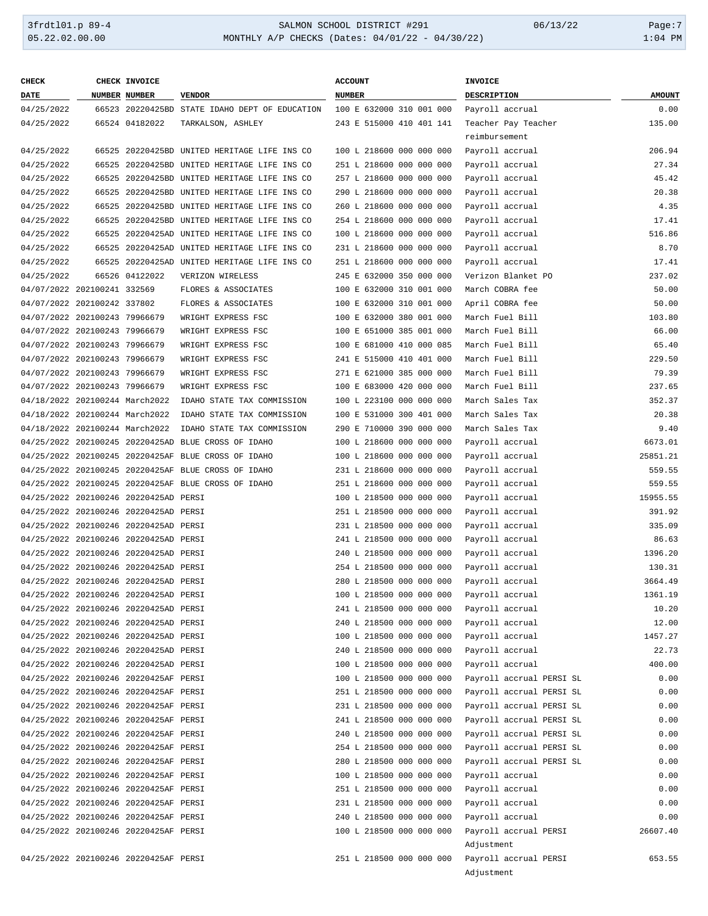## 3frdtl01.p 89-4 SALMON SCHOOL DISTRICT #291 06/13/22 Page:7 MONTHLY A/P CHECKS (Dates: 04/01/22 - 04/30/22)

| <b>CHECK</b>                   | CHECK INVOICE                         |                                                     | <b>ACCOUNT</b>           | INVOICE                  |               |
|--------------------------------|---------------------------------------|-----------------------------------------------------|--------------------------|--------------------------|---------------|
| DATE                           | NUMBER NUMBER                         | <b>VENDOR</b>                                       | <b>NUMBER</b>            | DESCRIPTION              | <b>AMOUNT</b> |
| 04/25/2022                     |                                       | 66523 20220425BD STATE IDAHO DEPT OF EDUCATION      | 100 E 632000 310 001 000 | Payroll accrual          | 0.00          |
| 04/25/2022                     | 66524 04182022                        | TARKALSON, ASHLEY                                   | 243 E 515000 410 401 141 | Teacher Pay Teacher      | 135.00        |
|                                |                                       |                                                     |                          | reimbursement            |               |
| 04/25/2022                     |                                       | 66525 20220425BD UNITED HERITAGE LIFE INS CO        | 100 L 218600 000 000 000 | Payroll accrual          | 206.94        |
| 04/25/2022                     |                                       | 66525 20220425BD UNITED HERITAGE LIFE INS CO        | 251 L 218600 000 000 000 | Payroll accrual          | 27.34         |
| 04/25/2022                     |                                       | 66525 20220425BD UNITED HERITAGE LIFE INS CO        | 257 L 218600 000 000 000 | Payroll accrual          | 45.42         |
| 04/25/2022                     |                                       | 66525 20220425BD UNITED HERITAGE LIFE INS CO        | 290 L 218600 000 000 000 | Payroll accrual          | 20.38         |
| 04/25/2022                     |                                       | 66525 20220425BD UNITED HERITAGE LIFE INS CO        | 260 L 218600 000 000 000 | Payroll accrual          | 4.35          |
| 04/25/2022                     |                                       | 66525 20220425BD UNITED HERITAGE LIFE INS CO        | 254 L 218600 000 000 000 | Payroll accrual          | 17.41         |
| 04/25/2022                     |                                       | 66525 20220425AD UNITED HERITAGE LIFE INS CO        | 100 L 218600 000 000 000 | Payroll accrual          | 516.86        |
| 04/25/2022                     |                                       | 66525 20220425AD UNITED HERITAGE LIFE INS CO        | 231 L 218600 000 000 000 | Payroll accrual          | 8.70          |
| 04/25/2022                     |                                       | 66525 20220425AD UNITED HERITAGE LIFE INS CO        | 251 L 218600 000 000 000 | Payroll accrual          | 17.41         |
| 04/25/2022                     | 66526 04122022                        | VERIZON WIRELESS                                    | 245 E 632000 350 000 000 | Verizon Blanket PO       | 237.02        |
| 04/07/2022 202100241 332569    |                                       | FLORES & ASSOCIATES                                 | 100 E 632000 310 001 000 | March COBRA fee          | 50.00         |
| 04/07/2022 202100242 337802    |                                       | FLORES & ASSOCIATES                                 | 100 E 632000 310 001 000 | April COBRA fee          | 50.00         |
| 04/07/2022 202100243 79966679  |                                       | WRIGHT EXPRESS FSC                                  | 100 E 632000 380 001 000 | March Fuel Bill          | 103.80        |
| 04/07/2022 202100243 79966679  |                                       | WRIGHT EXPRESS FSC                                  | 100 E 651000 385 001 000 | March Fuel Bill          | 66.00         |
| 04/07/2022 202100243 79966679  |                                       |                                                     |                          |                          | 65.40         |
|                                |                                       | WRIGHT EXPRESS FSC                                  | 100 E 681000 410 000 085 | March Fuel Bill          |               |
| 04/07/2022 202100243 79966679  |                                       | WRIGHT EXPRESS FSC                                  | 241 E 515000 410 401 000 | March Fuel Bill          | 229.50        |
| 04/07/2022 202100243 79966679  |                                       | WRIGHT EXPRESS FSC                                  | 271 E 621000 385 000 000 | March Fuel Bill          | 79.39         |
| 04/07/2022 202100243 79966679  |                                       | WRIGHT EXPRESS FSC                                  | 100 E 683000 420 000 000 | March Fuel Bill          | 237.65        |
| 04/18/2022 202100244 March2022 |                                       | IDAHO STATE TAX COMMISSION                          | 100 L 223100 000 000 000 | March Sales Tax          | 352.37        |
| 04/18/2022 202100244 March2022 |                                       | IDAHO STATE TAX COMMISSION                          | 100 E 531000 300 401 000 | March Sales Tax          | 20.38         |
| 04/18/2022 202100244 March2022 |                                       | IDAHO STATE TAX COMMISSION                          | 290 E 710000 390 000 000 | March Sales Tax          | 9.40          |
|                                |                                       | 04/25/2022 202100245 20220425AD BLUE CROSS OF IDAHO | 100 L 218600 000 000 000 | Payroll accrual          | 6673.01       |
|                                |                                       | 04/25/2022 202100245 20220425AF BLUE CROSS OF IDAHO | 100 L 218600 000 000 000 | Payroll accrual          | 25851.21      |
|                                |                                       | 04/25/2022 202100245 20220425AF BLUE CROSS OF IDAHO | 231 L 218600 000 000 000 | Payroll accrual          | 559.55        |
|                                |                                       | 04/25/2022 202100245 20220425AF BLUE CROSS OF IDAHO | 251 L 218600 000 000 000 | Payroll accrual          | 559.55        |
|                                | 04/25/2022 202100246 20220425AD PERSI |                                                     | 100 L 218500 000 000 000 | Payroll accrual          | 15955.55      |
|                                | 04/25/2022 202100246 20220425AD PERSI |                                                     | 251 L 218500 000 000 000 | Payroll accrual          | 391.92        |
|                                | 04/25/2022 202100246 20220425AD PERSI |                                                     | 231 L 218500 000 000 000 | Payroll accrual          | 335.09        |
|                                | 04/25/2022 202100246 20220425AD PERSI |                                                     | 241 L 218500 000 000 000 | Payroll accrual          | 86.63         |
|                                | 04/25/2022 202100246 20220425AD PERSI |                                                     | 240 L 218500 000 000 000 | Payroll accrual          | 1396.20       |
|                                | 04/25/2022 202100246 20220425AD PERSI |                                                     | 254 L 218500 000 000 000 | Payroll accrual          | 130.31        |
|                                | 04/25/2022 202100246 20220425AD PERSI |                                                     | 280 L 218500 000 000 000 | Payroll accrual          | 3664.49       |
|                                | 04/25/2022 202100246 20220425AD PERSI |                                                     | 100 L 218500 000 000 000 | Payroll accrual          | 1361.19       |
|                                | 04/25/2022 202100246 20220425AD PERSI |                                                     | 241 L 218500 000 000 000 | Payroll accrual          | 10.20         |
|                                | 04/25/2022 202100246 20220425AD PERSI |                                                     | 240 L 218500 000 000 000 | Payroll accrual          | 12.00         |
|                                | 04/25/2022 202100246 20220425AD PERSI |                                                     | 100 L 218500 000 000 000 | Payroll accrual          | 1457.27       |
|                                | 04/25/2022 202100246 20220425AD PERSI |                                                     | 240 L 218500 000 000 000 | Payroll accrual          | 22.73         |
|                                | 04/25/2022 202100246 20220425AD PERSI |                                                     | 100 L 218500 000 000 000 | Payroll accrual          | 400.00        |
|                                | 04/25/2022 202100246 20220425AF PERSI |                                                     | 100 L 218500 000 000 000 | Payroll accrual PERSI SL | 0.00          |
|                                | 04/25/2022 202100246 20220425AF PERSI |                                                     | 251 L 218500 000 000 000 | Payroll accrual PERSI SL | 0.00          |
|                                | 04/25/2022 202100246 20220425AF PERSI |                                                     | 231 L 218500 000 000 000 | Payroll accrual PERSI SL | 0.00          |
|                                | 04/25/2022 202100246 20220425AF PERSI |                                                     | 241 L 218500 000 000 000 | Payroll accrual PERSI SL | 0.00          |
|                                | 04/25/2022 202100246 20220425AF PERSI |                                                     | 240 L 218500 000 000 000 | Payroll accrual PERSI SL | 0.00          |
|                                | 04/25/2022 202100246 20220425AF PERSI |                                                     | 254 L 218500 000 000 000 | Payroll accrual PERSI SL | 0.00          |
|                                | 04/25/2022 202100246 20220425AF PERSI |                                                     | 280 L 218500 000 000 000 | Payroll accrual PERSI SL | 0.00          |
|                                | 04/25/2022 202100246 20220425AF PERSI |                                                     | 100 L 218500 000 000 000 | Payroll accrual          | 0.00          |
|                                | 04/25/2022 202100246 20220425AF PERSI |                                                     | 251 L 218500 000 000 000 | Payroll accrual          | 0.00          |
|                                | 04/25/2022 202100246 20220425AF PERSI |                                                     | 231 L 218500 000 000 000 | Payroll accrual          | 0.00          |
|                                | 04/25/2022 202100246 20220425AF PERSI |                                                     | 240 L 218500 000 000 000 | Payroll accrual          | 0.00          |
|                                | 04/25/2022 202100246 20220425AF PERSI |                                                     | 100 L 218500 000 000 000 | Payroll accrual PERSI    | 26607.40      |
|                                |                                       |                                                     |                          | Adjustment               |               |
|                                | 04/25/2022 202100246 20220425AF PERSI |                                                     | 251 L 218500 000 000 000 | Payroll accrual PERSI    | 653.55        |
|                                |                                       |                                                     |                          | Adjustment               |               |
|                                |                                       |                                                     |                          |                          |               |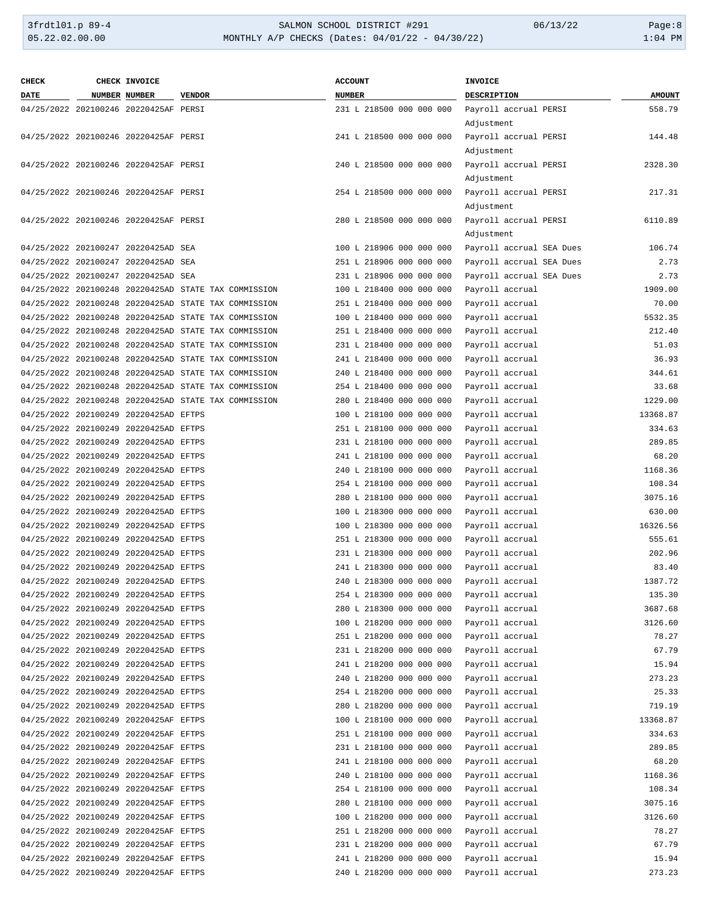| <b>CHECK</b> | CHECK INVOICE                         |                                                      | <b>ACCOUNT</b>           | <b>INVOICE</b>           |               |
|--------------|---------------------------------------|------------------------------------------------------|--------------------------|--------------------------|---------------|
| <b>DATE</b>  | NUMBER NUMBER                         | <b>VENDOR</b>                                        | <b>NUMBER</b>            | DESCRIPTION              | <b>AMOUNT</b> |
|              | 04/25/2022 202100246 20220425AF PERSI |                                                      | 231 L 218500 000 000 000 | Payroll accrual PERSI    | 558.79        |
|              |                                       |                                                      |                          | Adjustment               |               |
|              | 04/25/2022 202100246 20220425AF PERSI |                                                      | 241 L 218500 000 000 000 | Payroll accrual PERSI    | 144.48        |
|              |                                       |                                                      |                          | Adjustment               |               |
|              | 04/25/2022 202100246 20220425AF PERSI |                                                      | 240 L 218500 000 000 000 | Payroll accrual PERSI    | 2328.30       |
|              |                                       |                                                      |                          | Adjustment               |               |
|              | 04/25/2022 202100246 20220425AF PERSI |                                                      | 254 L 218500 000 000 000 | Payroll accrual PERSI    | 217.31        |
|              |                                       |                                                      |                          | Adjustment               |               |
|              | 04/25/2022 202100246 20220425AF PERSI |                                                      | 280 L 218500 000 000 000 | Payroll accrual PERSI    | 6110.89       |
|              |                                       |                                                      |                          | Adjustment               |               |
|              | 04/25/2022 202100247 20220425AD SEA   |                                                      | 100 L 218906 000 000 000 | Payroll accrual SEA Dues | 106.74        |
|              | 04/25/2022 202100247 20220425AD SEA   |                                                      | 251 L 218906 000 000 000 | Payroll accrual SEA Dues | 2.73          |
|              | 04/25/2022 202100247 20220425AD SEA   |                                                      | 231 L 218906 000 000 000 | Payroll accrual SEA Dues | 2.73          |
|              |                                       | 04/25/2022 202100248 20220425AD STATE TAX COMMISSION | 100 L 218400 000 000 000 | Payroll accrual          | 1909.00       |
|              |                                       | 04/25/2022 202100248 20220425AD STATE TAX COMMISSION | 251 L 218400 000 000 000 | Payroll accrual          | 70.00         |
|              |                                       | 04/25/2022 202100248 20220425AD STATE TAX COMMISSION | 100 L 218400 000 000 000 | Payroll accrual          | 5532.35       |
|              |                                       | 04/25/2022 202100248 20220425AD STATE TAX COMMISSION | 251 L 218400 000 000 000 | Payroll accrual          | 212.40        |
|              |                                       | 04/25/2022 202100248 20220425AD STATE TAX COMMISSION | 231 L 218400 000 000 000 | Payroll accrual          | 51.03         |
|              |                                       | 04/25/2022 202100248 20220425AD STATE TAX COMMISSION | 241 L 218400 000 000 000 | Payroll accrual          | 36.93         |
|              |                                       | 04/25/2022 202100248 20220425AD STATE TAX COMMISSION | 240 L 218400 000 000 000 | Payroll accrual          | 344.61        |
|              |                                       | 04/25/2022 202100248 20220425AD STATE TAX COMMISSION | 254 L 218400 000 000 000 | Payroll accrual          | 33.68         |
|              |                                       | 04/25/2022 202100248 20220425AD STATE TAX COMMISSION | 280 L 218400 000 000 000 | Payroll accrual          | 1229.00       |
|              | 04/25/2022 202100249 20220425AD EFTPS |                                                      | 100 L 218100 000 000 000 | Payroll accrual          | 13368.87      |
|              | 04/25/2022 202100249 20220425AD EFTPS |                                                      | 251 L 218100 000 000 000 | Payroll accrual          | 334.63        |
|              | 04/25/2022 202100249 20220425AD EFTPS |                                                      | 231 L 218100 000 000 000 | Payroll accrual          | 289.85        |
|              | 04/25/2022 202100249 20220425AD EFTPS |                                                      | 241 L 218100 000 000 000 | Payroll accrual          | 68.20         |
|              | 04/25/2022 202100249 20220425AD EFTPS |                                                      | 240 L 218100 000 000 000 | Payroll accrual          | 1168.36       |
|              | 04/25/2022 202100249 20220425AD EFTPS |                                                      | 254 L 218100 000 000 000 | Payroll accrual          | 108.34        |
|              | 04/25/2022 202100249 20220425AD EFTPS |                                                      | 280 L 218100 000 000 000 | Payroll accrual          | 3075.16       |
|              | 04/25/2022 202100249 20220425AD EFTPS |                                                      | 100 L 218300 000 000 000 | Payroll accrual          | 630.00        |
|              | 04/25/2022 202100249 20220425AD EFTPS |                                                      | 100 L 218300 000 000 000 | Payroll accrual          | 16326.56      |
|              | 04/25/2022 202100249 20220425AD EFTPS |                                                      | 251 L 218300 000 000 000 | Payroll accrual          | 555.61        |
|              | 04/25/2022 202100249 20220425AD EFTPS |                                                      | 231 L 218300 000 000 000 | Payroll accrual          | 202.96        |
|              | 04/25/2022 202100249 20220425AD EFTPS |                                                      | 241 L 218300 000 000 000 | Payroll accrual          | 83.40         |
|              | 04/25/2022 202100249 20220425AD EFTPS |                                                      | 240 L 218300 000 000 000 | Payroll accrual          | 1387.72       |
|              | 04/25/2022 202100249 20220425AD EFTPS |                                                      | 254 L 218300 000 000 000 | Payroll accrual          | 135.30        |
|              | 04/25/2022 202100249 20220425AD EFTPS |                                                      | 280 L 218300 000 000 000 | Payroll accrual          | 3687.68       |
|              | 04/25/2022 202100249 20220425AD EFTPS |                                                      | 100 L 218200 000 000 000 | Payroll accrual          | 3126.60       |
|              | 04/25/2022 202100249 20220425AD EFTPS |                                                      | 251 L 218200 000 000 000 | Payroll accrual          | 78.27         |
|              | 04/25/2022 202100249 20220425AD EFTPS |                                                      | 231 L 218200 000 000 000 | Payroll accrual          | 67.79         |
|              | 04/25/2022 202100249 20220425AD EFTPS |                                                      | 241 L 218200 000 000 000 | Payroll accrual          | 15.94         |
|              | 04/25/2022 202100249 20220425AD EFTPS |                                                      | 240 L 218200 000 000 000 | Payroll accrual          | 273.23        |
|              | 04/25/2022 202100249 20220425AD EFTPS |                                                      | 254 L 218200 000 000 000 | Payroll accrual          | 25.33         |
|              | 04/25/2022 202100249 20220425AD EFTPS |                                                      | 280 L 218200 000 000 000 | Payroll accrual          | 719.19        |
|              | 04/25/2022 202100249 20220425AF EFTPS |                                                      | 100 L 218100 000 000 000 | Payroll accrual          | 13368.87      |
|              | 04/25/2022 202100249 20220425AF EFTPS |                                                      | 251 L 218100 000 000 000 | Payroll accrual          | 334.63        |
|              | 04/25/2022 202100249 20220425AF EFTPS |                                                      | 231 L 218100 000 000 000 | Payroll accrual          | 289.85        |
|              | 04/25/2022 202100249 20220425AF EFTPS |                                                      | 241 L 218100 000 000 000 | Payroll accrual          | 68.20         |
|              | 04/25/2022 202100249 20220425AF EFTPS |                                                      | 240 L 218100 000 000 000 | Payroll accrual          | 1168.36       |
|              | 04/25/2022 202100249 20220425AF EFTPS |                                                      | 254 L 218100 000 000 000 | Payroll accrual          | 108.34        |
|              | 04/25/2022 202100249 20220425AF EFTPS |                                                      | 280 L 218100 000 000 000 | Payroll accrual          | 3075.16       |
|              | 04/25/2022 202100249 20220425AF EFTPS |                                                      | 100 L 218200 000 000 000 | Payroll accrual          | 3126.60       |
|              | 04/25/2022 202100249 20220425AF EFTPS |                                                      | 251 L 218200 000 000 000 | Payroll accrual          | 78.27         |
|              | 04/25/2022 202100249 20220425AF EFTPS |                                                      | 231 L 218200 000 000 000 | Payroll accrual          | 67.79         |
|              | 04/25/2022 202100249 20220425AF EFTPS |                                                      | 241 L 218200 000 000 000 | Payroll accrual          | 15.94         |
|              | 04/25/2022 202100249 20220425AF EFTPS |                                                      | 240 L 218200 000 000 000 | Payroll accrual          | 273.23        |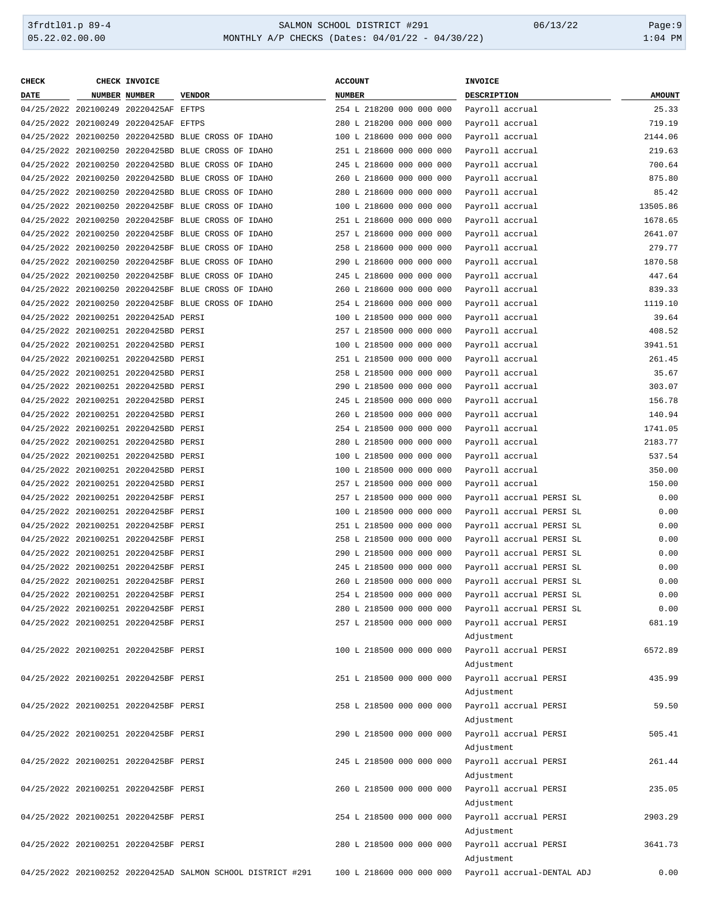| <b>CHECK</b> | CHECK INVOICE                         |                                                             | <b>ACCOUNT</b>           | <b>INVOICE</b>             |               |
|--------------|---------------------------------------|-------------------------------------------------------------|--------------------------|----------------------------|---------------|
| DATE         | NUMBER NUMBER                         | <b>VENDOR</b>                                               | <b>NUMBER</b>            | <b>DESCRIPTION</b>         | <b>AMOUNT</b> |
|              | 04/25/2022 202100249 20220425AF EFTPS |                                                             | 254 L 218200 000 000 000 | Payroll accrual            | 25.33         |
|              | 04/25/2022 202100249 20220425AF EFTPS |                                                             | 280 L 218200 000 000 000 | Payroll accrual            | 719.19        |
|              |                                       | 04/25/2022 202100250 20220425BD BLUE CROSS OF IDAHO         | 100 L 218600 000 000 000 | Payroll accrual            | 2144.06       |
|              |                                       | 04/25/2022 202100250 20220425BD BLUE CROSS OF IDAHO         | 251 L 218600 000 000 000 | Payroll accrual            | 219.63        |
|              |                                       | 04/25/2022 202100250 20220425BD BLUE CROSS OF IDAHO         | 245 L 218600 000 000 000 | Payroll accrual            | 700.64        |
|              |                                       |                                                             |                          |                            |               |
|              |                                       | 04/25/2022 202100250 20220425BD BLUE CROSS OF IDAHO         | 260 L 218600 000 000 000 | Payroll accrual            | 875.80        |
|              |                                       | 04/25/2022 202100250 20220425BD BLUE CROSS OF IDAHO         | 280 L 218600 000 000 000 | Payroll accrual            | 85.42         |
|              |                                       | 04/25/2022 202100250 20220425BF BLUE CROSS OF IDAHO         | 100 L 218600 000 000 000 | Payroll accrual            | 13505.86      |
|              |                                       | 04/25/2022 202100250 20220425BF BLUE CROSS OF IDAHO         | 251 L 218600 000 000 000 | Payroll accrual            | 1678.65       |
|              |                                       | 04/25/2022 202100250 20220425BF BLUE CROSS OF IDAHO         | 257 L 218600 000 000 000 | Payroll accrual            | 2641.07       |
|              |                                       | 04/25/2022 202100250 20220425BF BLUE CROSS OF IDAHO         | 258 L 218600 000 000 000 | Payroll accrual            | 279.77        |
|              |                                       | 04/25/2022 202100250 20220425BF BLUE CROSS OF IDAHO         | 290 L 218600 000 000 000 | Payroll accrual            | 1870.58       |
|              |                                       | 04/25/2022 202100250 20220425BF BLUE CROSS OF IDAHO         | 245 L 218600 000 000 000 | Payroll accrual            | 447.64        |
|              |                                       | 04/25/2022 202100250 20220425BF BLUE CROSS OF IDAHO         | 260 L 218600 000 000 000 | Payroll accrual            | 839.33        |
|              |                                       | 04/25/2022 202100250 20220425BF BLUE CROSS OF IDAHO         | 254 L 218600 000 000 000 | Payroll accrual            | 1119.10       |
|              | 04/25/2022 202100251 20220425AD PERSI |                                                             | 100 L 218500 000 000 000 | Payroll accrual            | 39.64         |
|              | 04/25/2022 202100251 20220425BD PERSI |                                                             | 257 L 218500 000 000 000 | Payroll accrual            | 408.52        |
|              | 04/25/2022 202100251 20220425BD PERSI |                                                             | 100 L 218500 000 000 000 | Payroll accrual            | 3941.51       |
|              | 04/25/2022 202100251 20220425BD PERSI |                                                             | 251 L 218500 000 000 000 | Payroll accrual            | 261.45        |
|              | 04/25/2022 202100251 20220425BD PERSI |                                                             | 258 L 218500 000 000 000 | Payroll accrual            | 35.67         |
|              | 04/25/2022 202100251 20220425BD PERSI |                                                             | 290 L 218500 000 000 000 |                            | 303.07        |
|              |                                       |                                                             |                          | Payroll accrual            |               |
|              | 04/25/2022 202100251 20220425BD PERSI |                                                             | 245 L 218500 000 000 000 | Payroll accrual            | 156.78        |
|              | 04/25/2022 202100251 20220425BD PERSI |                                                             | 260 L 218500 000 000 000 | Payroll accrual            | 140.94        |
|              | 04/25/2022 202100251 20220425BD PERSI |                                                             | 254 L 218500 000 000 000 | Payroll accrual            | 1741.05       |
|              | 04/25/2022 202100251 20220425BD PERSI |                                                             | 280 L 218500 000 000 000 | Payroll accrual            | 2183.77       |
|              | 04/25/2022 202100251 20220425BD PERSI |                                                             | 100 L 218500 000 000 000 | Payroll accrual            | 537.54        |
|              | 04/25/2022 202100251 20220425BD PERSI |                                                             | 100 L 218500 000 000 000 | Payroll accrual            | 350.00        |
|              | 04/25/2022 202100251 20220425BD PERSI |                                                             | 257 L 218500 000 000 000 | Payroll accrual            | 150.00        |
|              | 04/25/2022 202100251 20220425BF PERSI |                                                             | 257 L 218500 000 000 000 | Payroll accrual PERSI SL   | 0.00          |
|              | 04/25/2022 202100251 20220425BF PERSI |                                                             | 100 L 218500 000 000 000 | Payroll accrual PERSI SL   | 0.00          |
|              | 04/25/2022 202100251 20220425BF PERSI |                                                             | 251 L 218500 000 000 000 | Payroll accrual PERSI SL   | 0.00          |
|              | 04/25/2022 202100251 20220425BF PERSI |                                                             | 258 L 218500 000 000 000 | Payroll accrual PERSI SL   | 0.00          |
|              | 04/25/2022 202100251 20220425BF PERSI |                                                             | 290 L 218500 000 000 000 | Payroll accrual PERSI SL   | 0.00          |
|              | 04/25/2022 202100251 20220425BF PERSI |                                                             | 245 L 218500 000 000 000 | Payroll accrual PERSI SL   | 0.00          |
|              | 04/25/2022 202100251 20220425BF PERSI |                                                             | 260 L 218500 000 000 000 | Payroll accrual PERSI SL   | 0.00          |
|              | 04/25/2022 202100251 20220425BF PERSI |                                                             | 254 L 218500 000 000 000 | Payroll accrual PERSI SL   | 0.00          |
|              | 04/25/2022 202100251 20220425BF PERSI |                                                             | 280 L 218500 000 000 000 | Payroll accrual PERSI SL   | 0.00          |
|              | 04/25/2022 202100251 20220425BF PERSI |                                                             | 257 L 218500 000 000 000 | Payroll accrual PERSI      | 681.19        |
|              |                                       |                                                             |                          |                            |               |
|              |                                       |                                                             |                          | Adjustment                 |               |
|              | 04/25/2022 202100251 20220425BF PERSI |                                                             | 100 L 218500 000 000 000 | Payroll accrual PERSI      | 6572.89       |
|              |                                       |                                                             |                          | Adjustment                 |               |
|              | 04/25/2022 202100251 20220425BF PERSI |                                                             | 251 L 218500 000 000 000 | Payroll accrual PERSI      | 435.99        |
|              |                                       |                                                             |                          | Adjustment                 |               |
|              | 04/25/2022 202100251 20220425BF PERSI |                                                             | 258 L 218500 000 000 000 | Payroll accrual PERSI      | 59.50         |
|              |                                       |                                                             |                          | Adjustment                 |               |
|              | 04/25/2022 202100251 20220425BF PERSI |                                                             | 290 L 218500 000 000 000 | Payroll accrual PERSI      | 505.41        |
|              |                                       |                                                             |                          | Adjustment                 |               |
|              | 04/25/2022 202100251 20220425BF PERSI |                                                             | 245 L 218500 000 000 000 | Payroll accrual PERSI      | 261.44        |
|              |                                       |                                                             |                          | Adjustment                 |               |
|              | 04/25/2022 202100251 20220425BF PERSI |                                                             | 260 L 218500 000 000 000 | Payroll accrual PERSI      | 235.05        |
|              |                                       |                                                             |                          | Adjustment                 |               |
|              | 04/25/2022 202100251 20220425BF PERSI |                                                             | 254 L 218500 000 000 000 | Payroll accrual PERSI      | 2903.29       |
|              |                                       |                                                             |                          | Adjustment                 |               |
|              |                                       |                                                             |                          |                            |               |
|              | 04/25/2022 202100251 20220425BF PERSI |                                                             | 280 L 218500 000 000 000 | Payroll accrual PERSI      | 3641.73       |
|              |                                       |                                                             |                          | Adjustment                 |               |
|              |                                       | 04/25/2022 202100252 20220425AD SALMON SCHOOL DISTRICT #291 | 100 L 218600 000 000 000 | Payroll accrual-DENTAL ADJ | 0.00          |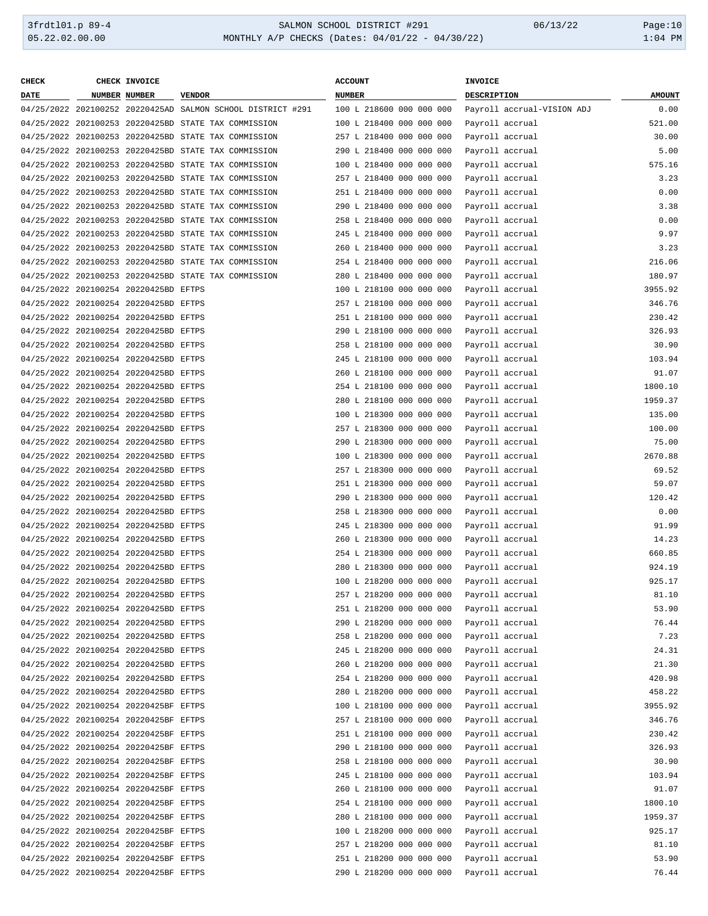| <b>CHECK</b> | CHECK INVOICE                         |                                                             | <b>ACCOUNT</b>           | INVOICE                    |               |
|--------------|---------------------------------------|-------------------------------------------------------------|--------------------------|----------------------------|---------------|
| DATE         | NUMBER NUMBER                         | <b>VENDOR</b>                                               | <b>NUMBER</b>            | DESCRIPTION                | <b>AMOUNT</b> |
|              |                                       | 04/25/2022 202100252 20220425AD SALMON SCHOOL DISTRICT #291 | 100 L 218600 000 000 000 | Payroll accrual-VISION ADJ | 0.00          |
|              |                                       | 04/25/2022 202100253 20220425BD STATE TAX COMMISSION        | 100 L 218400 000 000 000 | Payroll accrual            | 521.00        |
|              |                                       | 04/25/2022 202100253 20220425BD STATE TAX COMMISSION        | 257 L 218400 000 000 000 | Payroll accrual            | 30.00         |
|              |                                       | 04/25/2022 202100253 20220425BD STATE TAX COMMISSION        | 290 L 218400 000 000 000 | Payroll accrual            | 5.00          |
|              |                                       | 04/25/2022 202100253 20220425BD STATE TAX COMMISSION        | 100 L 218400 000 000 000 | Payroll accrual            | 575.16        |
|              |                                       | 04/25/2022 202100253 20220425BD STATE TAX COMMISSION        | 257 L 218400 000 000 000 | Payroll accrual            | 3.23          |
|              |                                       | 04/25/2022 202100253 20220425BD STATE TAX COMMISSION        | 251 L 218400 000 000 000 | Payroll accrual            | 0.00          |
|              |                                       | 04/25/2022 202100253 20220425BD STATE TAX COMMISSION        | 290 L 218400 000 000 000 | Payroll accrual            | 3.38          |
|              |                                       | 04/25/2022 202100253 20220425BD STATE TAX COMMISSION        | 258 L 218400 000 000 000 | Payroll accrual            | 0.00          |
|              |                                       | 04/25/2022 202100253 20220425BD STATE TAX COMMISSION        | 245 L 218400 000 000 000 | Payroll accrual            | 9.97          |
|              |                                       | 04/25/2022 202100253 20220425BD STATE TAX COMMISSION        | 260 L 218400 000 000 000 | Payroll accrual            | 3.23          |
|              |                                       |                                                             |                          |                            | 216.06        |
|              |                                       | 04/25/2022 202100253 20220425BD STATE TAX COMMISSION        | 254 L 218400 000 000 000 | Payroll accrual            |               |
|              |                                       | 04/25/2022 202100253 20220425BD STATE TAX COMMISSION        | 280 L 218400 000 000 000 | Payroll accrual            | 180.97        |
|              | 04/25/2022 202100254 20220425BD EFTPS |                                                             | 100 L 218100 000 000 000 | Payroll accrual            | 3955.92       |
|              | 04/25/2022 202100254 20220425BD EFTPS |                                                             | 257 L 218100 000 000 000 | Payroll accrual            | 346.76        |
|              | 04/25/2022 202100254 20220425BD EFTPS |                                                             | 251 L 218100 000 000 000 | Payroll accrual            | 230.42        |
|              | 04/25/2022 202100254 20220425BD EFTPS |                                                             | 290 L 218100 000 000 000 | Payroll accrual            | 326.93        |
|              | 04/25/2022 202100254 20220425BD EFTPS |                                                             | 258 L 218100 000 000 000 | Payroll accrual            | 30.90         |
|              | 04/25/2022 202100254 20220425BD EFTPS |                                                             | 245 L 218100 000 000 000 | Payroll accrual            | 103.94        |
|              | 04/25/2022 202100254 20220425BD EFTPS |                                                             | 260 L 218100 000 000 000 | Payroll accrual            | 91.07         |
|              | 04/25/2022 202100254 20220425BD EFTPS |                                                             | 254 L 218100 000 000 000 | Payroll accrual            | 1800.10       |
|              | 04/25/2022 202100254 20220425BD EFTPS |                                                             | 280 L 218100 000 000 000 | Payroll accrual            | 1959.37       |
|              | 04/25/2022 202100254 20220425BD EFTPS |                                                             | 100 L 218300 000 000 000 | Payroll accrual            | 135.00        |
|              | 04/25/2022 202100254 20220425BD EFTPS |                                                             | 257 L 218300 000 000 000 | Payroll accrual            | 100.00        |
|              | 04/25/2022 202100254 20220425BD EFTPS |                                                             | 290 L 218300 000 000 000 | Payroll accrual            | 75.00         |
|              | 04/25/2022 202100254 20220425BD EFTPS |                                                             | 100 L 218300 000 000 000 | Payroll accrual            | 2670.88       |
|              | 04/25/2022 202100254 20220425BD EFTPS |                                                             | 257 L 218300 000 000 000 | Payroll accrual            | 69.52         |
|              | 04/25/2022 202100254 20220425BD EFTPS |                                                             | 251 L 218300 000 000 000 | Payroll accrual            | 59.07         |
|              | 04/25/2022 202100254 20220425BD EFTPS |                                                             | 290 L 218300 000 000 000 | Payroll accrual            | 120.42        |
|              | 04/25/2022 202100254 20220425BD EFTPS |                                                             | 258 L 218300 000 000 000 | Payroll accrual            | 0.00          |
|              | 04/25/2022 202100254 20220425BD EFTPS |                                                             | 245 L 218300 000 000 000 | Payroll accrual            | 91.99         |
|              | 04/25/2022 202100254 20220425BD EFTPS |                                                             | 260 L 218300 000 000 000 | Payroll accrual            | 14.23         |
|              | 04/25/2022 202100254 20220425BD EFTPS |                                                             | 254 L 218300 000 000 000 | Payroll accrual            | 660.85        |
|              | 04/25/2022 202100254 20220425BD EFTPS |                                                             | 280 L 218300 000 000 000 | Payroll accrual            | 924.19        |
|              | 04/25/2022 202100254 20220425BD EFTPS |                                                             | 100 L 218200 000 000 000 | Payroll accrual            | 925.17        |
|              | 04/25/2022 202100254 20220425BD EFTPS |                                                             | 257 L 218200 000 000 000 | Payroll accrual            | 81.10         |
|              | 04/25/2022 202100254 20220425BD EFTPS |                                                             | 251 L 218200 000 000 000 | Payroll accrual            | 53.90         |
|              | 04/25/2022 202100254 20220425BD EFTPS |                                                             | 290 L 218200 000 000 000 | Payroll accrual            | 76.44         |
|              | 04/25/2022 202100254 20220425BD EFTPS |                                                             | 258 L 218200 000 000 000 | Payroll accrual            | 7.23          |
|              | 04/25/2022 202100254 20220425BD EFTPS |                                                             | 245 L 218200 000 000 000 | Payroll accrual            | 24.31         |
|              | 04/25/2022 202100254 20220425BD EFTPS |                                                             | 260 L 218200 000 000 000 | Payroll accrual            | 21.30         |
|              | 04/25/2022 202100254 20220425BD EFTPS |                                                             | 254 L 218200 000 000 000 | Payroll accrual            | 420.98        |
|              | 04/25/2022 202100254 20220425BD EFTPS |                                                             | 280 L 218200 000 000 000 | Payroll accrual            | 458.22        |
|              | 04/25/2022 202100254 20220425BF EFTPS |                                                             | 100 L 218100 000 000 000 | Payroll accrual            | 3955.92       |
|              | 04/25/2022 202100254 20220425BF EFTPS |                                                             | 257 L 218100 000 000 000 | Payroll accrual            | 346.76        |
|              | 04/25/2022 202100254 20220425BF EFTPS |                                                             | 251 L 218100 000 000 000 | Payroll accrual            | 230.42        |
|              | 04/25/2022 202100254 20220425BF EFTPS |                                                             | 290 L 218100 000 000 000 | Payroll accrual            | 326.93        |
|              | 04/25/2022 202100254 20220425BF EFTPS |                                                             | 258 L 218100 000 000 000 | Payroll accrual            | 30.90         |
|              |                                       |                                                             |                          |                            |               |
|              | 04/25/2022 202100254 20220425BF EFTPS |                                                             | 245 L 218100 000 000 000 | Payroll accrual            | 103.94        |
|              | 04/25/2022 202100254 20220425BF EFTPS |                                                             | 260 L 218100 000 000 000 | Payroll accrual            | 91.07         |
|              | 04/25/2022 202100254 20220425BF EFTPS |                                                             | 254 L 218100 000 000 000 | Payroll accrual            | 1800.10       |
|              | 04/25/2022 202100254 20220425BF EFTPS |                                                             | 280 L 218100 000 000 000 | Payroll accrual            | 1959.37       |
|              | 04/25/2022 202100254 20220425BF EFTPS |                                                             | 100 L 218200 000 000 000 | Payroll accrual            | 925.17        |
|              | 04/25/2022 202100254 20220425BF EFTPS |                                                             | 257 L 218200 000 000 000 | Payroll accrual            | 81.10         |
|              | 04/25/2022 202100254 20220425BF EFTPS |                                                             | 251 L 218200 000 000 000 | Payroll accrual            | 53.90         |
|              | 04/25/2022 202100254 20220425BF EFTPS |                                                             | 290 L 218200 000 000 000 | Payroll accrual            | 76.44         |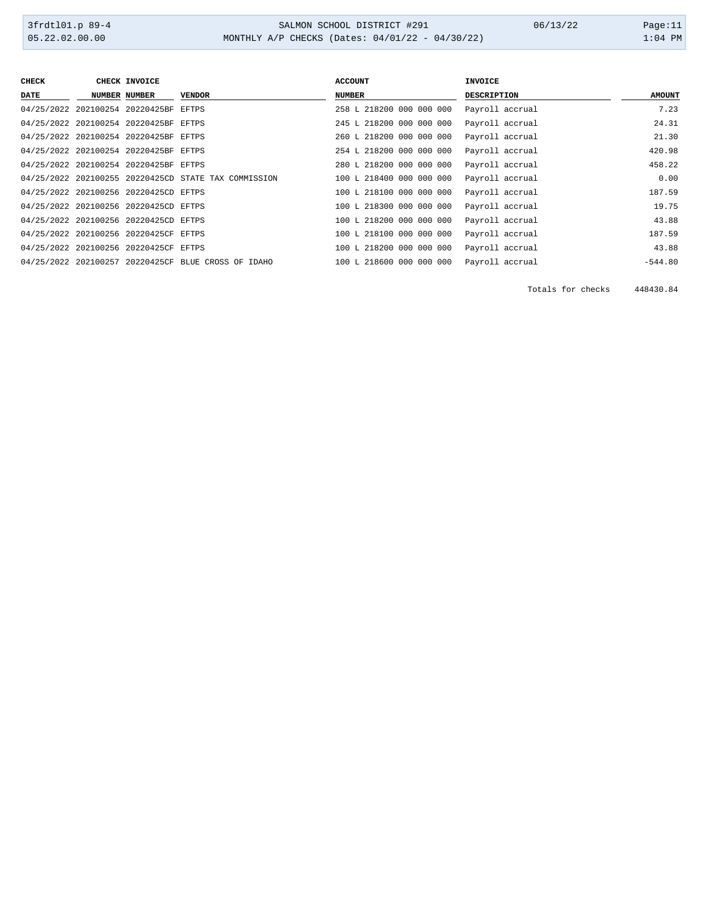| <b>CHECK</b> | CHECK INVOICE                         |                                                      | <b>ACCOUNT</b>           | <b>INVOICE</b>     |               |
|--------------|---------------------------------------|------------------------------------------------------|--------------------------|--------------------|---------------|
| <b>DATE</b>  | <b>NUMBER NUMBER</b>                  | <b>VENDOR</b>                                        | <b>NUMBER</b>            | <b>DESCRIPTION</b> | <b>AMOUNT</b> |
|              | 04/25/2022 202100254 20220425BF EFTPS |                                                      | 258 L 218200 000 000 000 | Payroll accrual    | 7.23          |
|              | 04/25/2022 202100254 20220425BF EFTPS |                                                      | 245 L 218200 000 000 000 | Payroll accrual    | 24.31         |
|              | 04/25/2022 202100254 20220425BF EFTPS |                                                      | 260 L 218200 000 000 000 | Payroll accrual    | 21.30         |
|              | 04/25/2022 202100254 20220425BF EFTPS |                                                      | 254 L 218200 000 000 000 | Payroll accrual    | 420.98        |
|              | 04/25/2022 202100254 20220425BF EFTPS |                                                      | 280 L 218200 000 000 000 | Payroll accrual    | 458.22        |
|              |                                       | 04/25/2022 202100255 20220425CD STATE TAX COMMISSION | 100 L 218400 000 000 000 | Payroll accrual    | 0.00          |
|              | 04/25/2022 202100256 20220425CD EFTPS |                                                      | 100 L 218100 000 000 000 | Payroll accrual    | 187.59        |
|              | 04/25/2022 202100256 20220425CD EFTPS |                                                      | 100 L 218300 000 000 000 | Payroll accrual    | 19.75         |
|              | 04/25/2022 202100256 20220425CD EFTPS |                                                      | 100 L 218200 000 000 000 | Payroll accrual    | 43.88         |
|              | 04/25/2022 202100256 20220425CF EFTPS |                                                      | 100 L 218100 000 000 000 | Payroll accrual    | 187.59        |
|              | 04/25/2022 202100256 20220425CF EFTPS |                                                      | 100 L 218200 000 000 000 | Payroll accrual    | 43.88         |
|              |                                       | 04/25/2022 202100257 20220425CF BLUE CROSS OF IDAHO  | 100 L 218600 000 000 000 | Payroll accrual    | $-544.80$     |

Totals for checks 448430.84